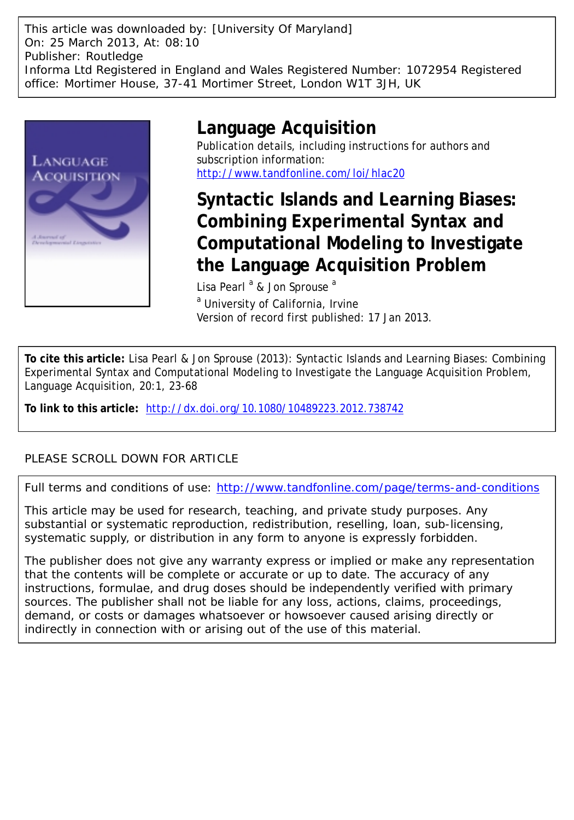This article was downloaded by: [University Of Maryland] On: 25 March 2013, At: 08:10 Publisher: Routledge Informa Ltd Registered in England and Wales Registered Number: 1072954 Registered office: Mortimer House, 37-41 Mortimer Street, London W1T 3JH, UK



# **Language Acquisition**

Publication details, including instructions for authors and subscription information: <http://www.tandfonline.com/loi/hlac20>

**Syntactic Islands and Learning Biases: Combining Experimental Syntax and Computational Modeling to Investigate the Language Acquisition Problem**

Lisa Pearl<sup>a</sup> & Jon Sprouse<sup>a</sup> <sup>a</sup> University of California, Irvine Version of record first published: 17 Jan 2013.

**To cite this article:** Lisa Pearl & Jon Sprouse (2013): Syntactic Islands and Learning Biases: Combining Experimental Syntax and Computational Modeling to Investigate the Language Acquisition Problem, Language Acquisition, 20:1, 23-68

**To link to this article:** <http://dx.doi.org/10.1080/10489223.2012.738742>

# PLEASE SCROLL DOWN FOR ARTICLE

Full terms and conditions of use:<http://www.tandfonline.com/page/terms-and-conditions>

This article may be used for research, teaching, and private study purposes. Any substantial or systematic reproduction, redistribution, reselling, loan, sub-licensing, systematic supply, or distribution in any form to anyone is expressly forbidden.

The publisher does not give any warranty express or implied or make any representation that the contents will be complete or accurate or up to date. The accuracy of any instructions, formulae, and drug doses should be independently verified with primary sources. The publisher shall not be liable for any loss, actions, claims, proceedings, demand, or costs or damages whatsoever or howsoever caused arising directly or indirectly in connection with or arising out of the use of this material.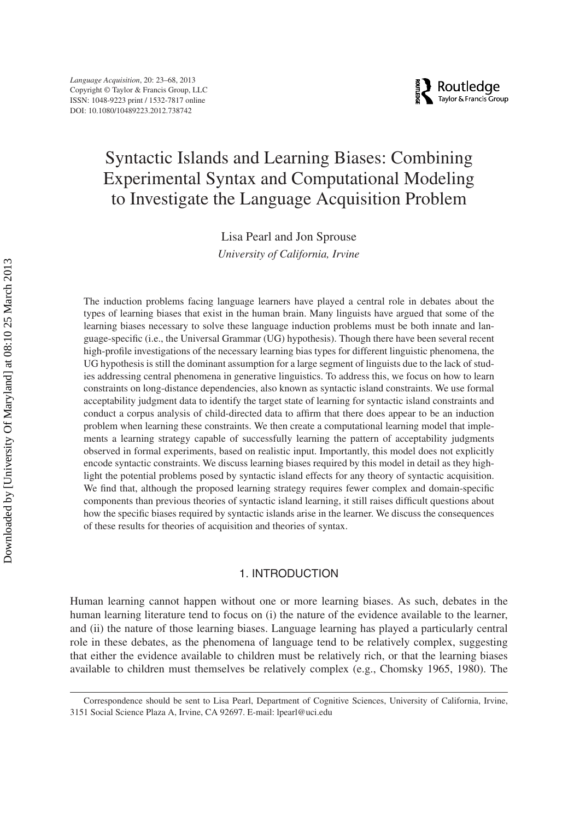

# Syntactic Islands and Learning Biases: Combining Experimental Syntax and Computational Modeling to Investigate the Language Acquisition Problem

Lisa Pearl and Jon Sprouse *University of California, Irvine*

The induction problems facing language learners have played a central role in debates about the types of learning biases that exist in the human brain. Many linguists have argued that some of the learning biases necessary to solve these language induction problems must be both innate and language-specific (i.e., the Universal Grammar (UG) hypothesis). Though there have been several recent high-profile investigations of the necessary learning bias types for different linguistic phenomena, the UG hypothesis is still the dominant assumption for a large segment of linguists due to the lack of studies addressing central phenomena in generative linguistics. To address this, we focus on how to learn constraints on long-distance dependencies, also known as syntactic island constraints. We use formal acceptability judgment data to identify the target state of learning for syntactic island constraints and conduct a corpus analysis of child-directed data to affirm that there does appear to be an induction problem when learning these constraints. We then create a computational learning model that implements a learning strategy capable of successfully learning the pattern of acceptability judgments observed in formal experiments, based on realistic input. Importantly, this model does not explicitly encode syntactic constraints. We discuss learning biases required by this model in detail as they highlight the potential problems posed by syntactic island effects for any theory of syntactic acquisition. We find that, although the proposed learning strategy requires fewer complex and domain-specific components than previous theories of syntactic island learning, it still raises difficult questions about how the specific biases required by syntactic islands arise in the learner. We discuss the consequences of these results for theories of acquisition and theories of syntax.

# 1. INTRODUCTION

Human learning cannot happen without one or more learning biases. As such, debates in the human learning literature tend to focus on (i) the nature of the evidence available to the learner, and (ii) the nature of those learning biases. Language learning has played a particularly central role in these debates, as the phenomena of language tend to be relatively complex, suggesting that either the evidence available to children must be relatively rich, or that the learning biases available to children must themselves be relatively complex (e.g., Chomsky 1965, 1980). The

Correspondence should be sent to Lisa Pearl, Department of Cognitive Sciences, University of California, Irvine, 3151 Social Science Plaza A, Irvine, CA 92697. E-mail: lpearl@uci.edu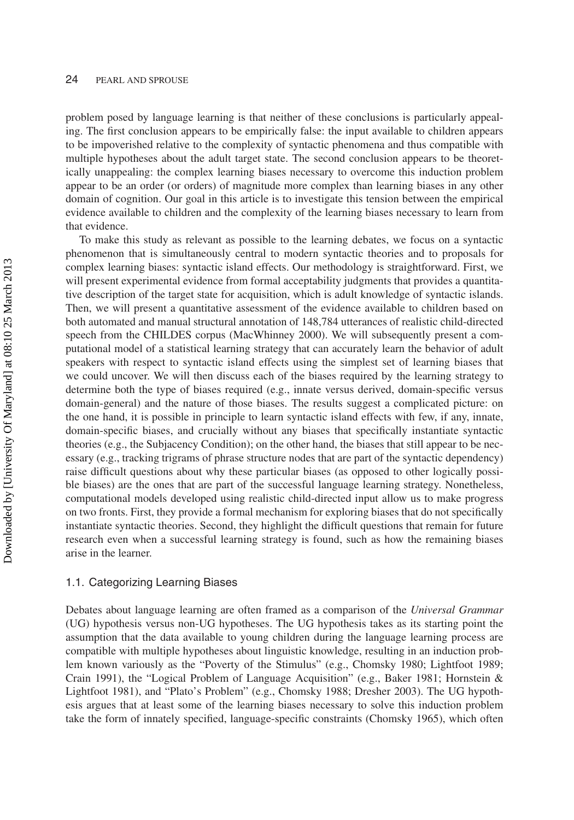problem posed by language learning is that neither of these conclusions is particularly appealing. The first conclusion appears to be empirically false: the input available to children appears to be impoverished relative to the complexity of syntactic phenomena and thus compatible with multiple hypotheses about the adult target state. The second conclusion appears to be theoretically unappealing: the complex learning biases necessary to overcome this induction problem appear to be an order (or orders) of magnitude more complex than learning biases in any other domain of cognition. Our goal in this article is to investigate this tension between the empirical evidence available to children and the complexity of the learning biases necessary to learn from that evidence.

To make this study as relevant as possible to the learning debates, we focus on a syntactic phenomenon that is simultaneously central to modern syntactic theories and to proposals for complex learning biases: syntactic island effects. Our methodology is straightforward. First, we will present experimental evidence from formal acceptability judgments that provides a quantitative description of the target state for acquisition, which is adult knowledge of syntactic islands. Then, we will present a quantitative assessment of the evidence available to children based on both automated and manual structural annotation of 148,784 utterances of realistic child-directed speech from the CHILDES corpus (MacWhinney 2000). We will subsequently present a computational model of a statistical learning strategy that can accurately learn the behavior of adult speakers with respect to syntactic island effects using the simplest set of learning biases that we could uncover. We will then discuss each of the biases required by the learning strategy to determine both the type of biases required (e.g., innate versus derived, domain-specific versus domain-general) and the nature of those biases. The results suggest a complicated picture: on the one hand, it is possible in principle to learn syntactic island effects with few, if any, innate, domain-specific biases, and crucially without any biases that specifically instantiate syntactic theories (e.g., the Subjacency Condition); on the other hand, the biases that still appear to be necessary (e.g., tracking trigrams of phrase structure nodes that are part of the syntactic dependency) raise difficult questions about why these particular biases (as opposed to other logically possible biases) are the ones that are part of the successful language learning strategy. Nonetheless, computational models developed using realistic child-directed input allow us to make progress on two fronts. First, they provide a formal mechanism for exploring biases that do not specifically instantiate syntactic theories. Second, they highlight the difficult questions that remain for future research even when a successful learning strategy is found, such as how the remaining biases arise in the learner.

#### 1.1. Categorizing Learning Biases

Debates about language learning are often framed as a comparison of the *Universal Grammar* (UG) hypothesis versus non-UG hypotheses. The UG hypothesis takes as its starting point the assumption that the data available to young children during the language learning process are compatible with multiple hypotheses about linguistic knowledge, resulting in an induction problem known variously as the "Poverty of the Stimulus" (e.g., Chomsky 1980; Lightfoot 1989; Crain 1991), the "Logical Problem of Language Acquisition" (e.g., Baker 1981; Hornstein & Lightfoot 1981), and "Plato's Problem" (e.g., Chomsky 1988; Dresher 2003). The UG hypothesis argues that at least some of the learning biases necessary to solve this induction problem take the form of innately specified, language-specific constraints (Chomsky 1965), which often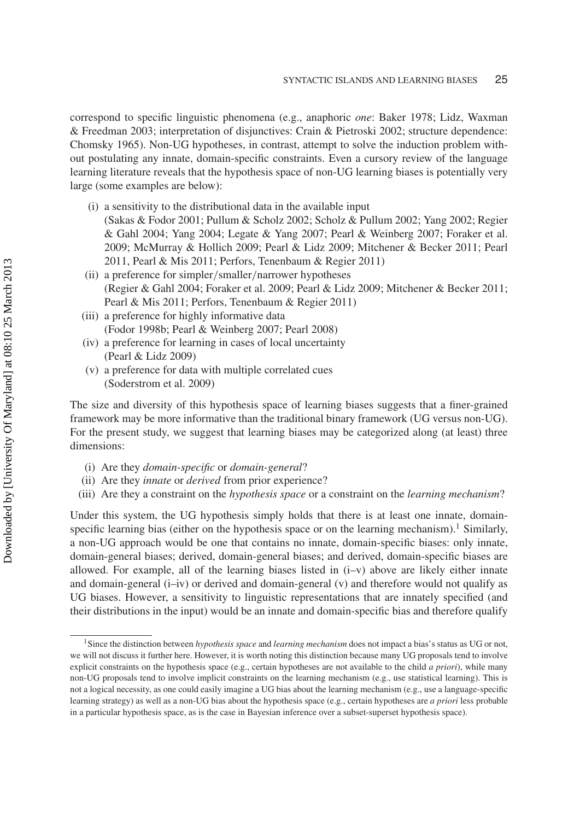correspond to specific linguistic phenomena (e.g., anaphoric *one*: Baker 1978; Lidz, Waxman & Freedman 2003; interpretation of disjunctives: Crain & Pietroski 2002; structure dependence: Chomsky 1965). Non-UG hypotheses, in contrast, attempt to solve the induction problem without postulating any innate, domain-specific constraints. Even a cursory review of the language learning literature reveals that the hypothesis space of non-UG learning biases is potentially very large (some examples are below):

- (i) a sensitivity to the distributional data in the available input (Sakas & Fodor 2001; Pullum & Scholz 2002; Scholz & Pullum 2002; Yang 2002; Regier
	- & Gahl 2004; Yang 2004; Legate & Yang 2007; Pearl & Weinberg 2007; Foraker et al. 2009; McMurray & Hollich 2009; Pearl & Lidz 2009; Mitchener & Becker 2011; Pearl 2011, Pearl & Mis 2011; Perfors, Tenenbaum & Regier 2011)
- (ii) a preference for simpler/smaller/narrower hypotheses (Regier & Gahl 2004; Foraker et al. 2009; Pearl & Lidz 2009; Mitchener & Becker 2011; Pearl & Mis 2011; Perfors, Tenenbaum & Regier 2011)
- (iii) a preference for highly informative data (Fodor 1998b; Pearl & Weinberg 2007; Pearl 2008)
- (iv) a preference for learning in cases of local uncertainty (Pearl & Lidz 2009)
- (v) a preference for data with multiple correlated cues (Soderstrom et al. 2009)

The size and diversity of this hypothesis space of learning biases suggests that a finer-grained framework may be more informative than the traditional binary framework (UG versus non-UG). For the present study, we suggest that learning biases may be categorized along (at least) three dimensions:

- (i) Are they *domain-specific* or *domain-general*?
- (ii) Are they *innate* or *derived* from prior experience?
- (iii) Are they a constraint on the *hypothesis space* or a constraint on the *learning mechanism*?

Under this system, the UG hypothesis simply holds that there is at least one innate, domainspecific learning bias (either on the hypothesis space or on the learning mechanism).<sup>1</sup> Similarly, a non-UG approach would be one that contains no innate, domain-specific biases: only innate, domain-general biases; derived, domain-general biases; and derived, domain-specific biases are allowed. For example, all of the learning biases listed in  $(i-v)$  above are likely either innate and domain-general (i–iv) or derived and domain-general (v) and therefore would not qualify as UG biases. However, a sensitivity to linguistic representations that are innately specified (and their distributions in the input) would be an innate and domain-specific bias and therefore qualify

<sup>1</sup>Since the distinction between *hypothesis space* and *learning mechanism* does not impact a bias's status as UG or not, we will not discuss it further here. However, it is worth noting this distinction because many UG proposals tend to involve explicit constraints on the hypothesis space (e.g., certain hypotheses are not available to the child *a priori*), while many non-UG proposals tend to involve implicit constraints on the learning mechanism (e.g., use statistical learning). This is not a logical necessity, as one could easily imagine a UG bias about the learning mechanism (e.g., use a language-specific learning strategy) as well as a non-UG bias about the hypothesis space (e.g., certain hypotheses are *a priori* less probable in a particular hypothesis space, as is the case in Bayesian inference over a subset-superset hypothesis space).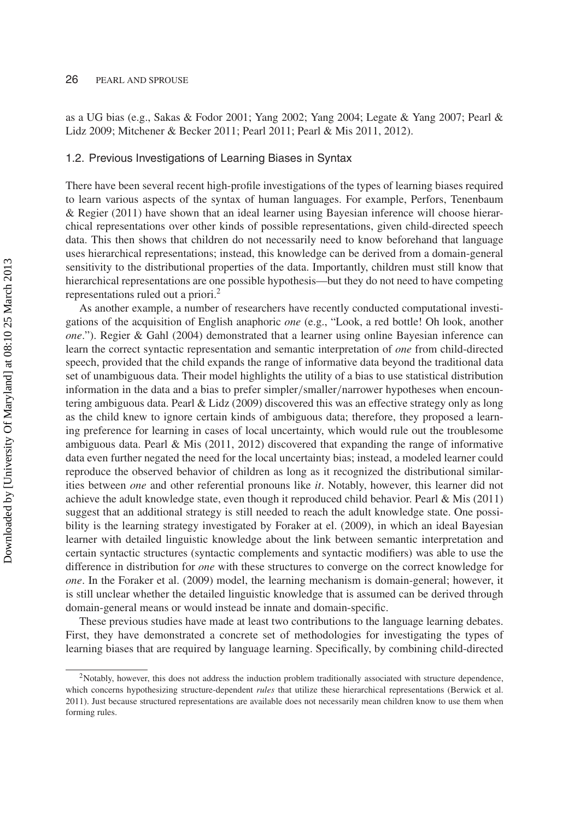as a UG bias (e.g., Sakas & Fodor 2001; Yang 2002; Yang 2004; Legate & Yang 2007; Pearl & Lidz 2009; Mitchener & Becker 2011; Pearl 2011; Pearl & Mis 2011, 2012).

#### 1.2. Previous Investigations of Learning Biases in Syntax

There have been several recent high-profile investigations of the types of learning biases required to learn various aspects of the syntax of human languages. For example, Perfors, Tenenbaum & Regier (2011) have shown that an ideal learner using Bayesian inference will choose hierarchical representations over other kinds of possible representations, given child-directed speech data. This then shows that children do not necessarily need to know beforehand that language uses hierarchical representations; instead, this knowledge can be derived from a domain-general sensitivity to the distributional properties of the data. Importantly, children must still know that hierarchical representations are one possible hypothesis—but they do not need to have competing representations ruled out a priori.<sup>2</sup>

As another example, a number of researchers have recently conducted computational investigations of the acquisition of English anaphoric *one* (e.g., "Look, a red bottle! Oh look, another *one*."). Regier & Gahl (2004) demonstrated that a learner using online Bayesian inference can learn the correct syntactic representation and semantic interpretation of *one* from child-directed speech, provided that the child expands the range of informative data beyond the traditional data set of unambiguous data. Their model highlights the utility of a bias to use statistical distribution information in the data and a bias to prefer simpler/smaller/narrower hypotheses when encountering ambiguous data. Pearl & Lidz (2009) discovered this was an effective strategy only as long as the child knew to ignore certain kinds of ambiguous data; therefore, they proposed a learning preference for learning in cases of local uncertainty, which would rule out the troublesome ambiguous data. Pearl & Mis (2011, 2012) discovered that expanding the range of informative data even further negated the need for the local uncertainty bias; instead, a modeled learner could reproduce the observed behavior of children as long as it recognized the distributional similarities between *one* and other referential pronouns like *it*. Notably, however, this learner did not achieve the adult knowledge state, even though it reproduced child behavior. Pearl & Mis (2011) suggest that an additional strategy is still needed to reach the adult knowledge state. One possibility is the learning strategy investigated by Foraker at el. (2009), in which an ideal Bayesian learner with detailed linguistic knowledge about the link between semantic interpretation and certain syntactic structures (syntactic complements and syntactic modifiers) was able to use the difference in distribution for *one* with these structures to converge on the correct knowledge for *one*. In the Foraker et al. (2009) model, the learning mechanism is domain-general; however, it is still unclear whether the detailed linguistic knowledge that is assumed can be derived through domain-general means or would instead be innate and domain-specific.

These previous studies have made at least two contributions to the language learning debates. First, they have demonstrated a concrete set of methodologies for investigating the types of learning biases that are required by language learning. Specifically, by combining child-directed

<sup>&</sup>lt;sup>2</sup>Notably, however, this does not address the induction problem traditionally associated with structure dependence, which concerns hypothesizing structure-dependent *rules* that utilize these hierarchical representations (Berwick et al. 2011). Just because structured representations are available does not necessarily mean children know to use them when forming rules.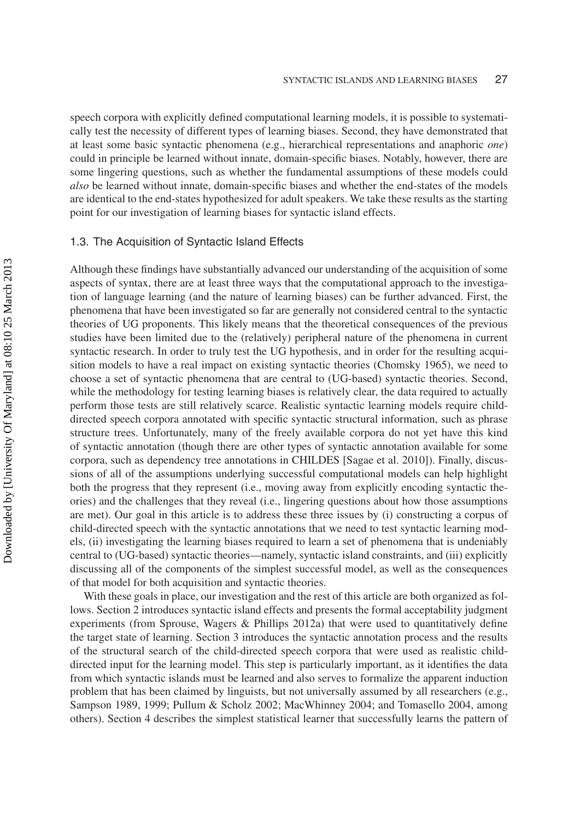speech corpora with explicitly defined computational learning models, it is possible to systematically test the necessity of different types of learning biases. Second, they have demonstrated that at least some basic syntactic phenomena (e.g., hierarchical representations and anaphoric *one*) could in principle be learned without innate, domain-specific biases. Notably, however, there are some lingering questions, such as whether the fundamental assumptions of these models could *also* be learned without innate, domain-specific biases and whether the end-states of the models are identical to the end-states hypothesized for adult speakers. We take these results as the starting point for our investigation of learning biases for syntactic island effects.

### 1.3. The Acquisition of Syntactic Island Effects

Although these findings have substantially advanced our understanding of the acquisition of some aspects of syntax, there are at least three ways that the computational approach to the investigation of language learning (and the nature of learning biases) can be further advanced. First, the phenomena that have been investigated so far are generally not considered central to the syntactic theories of UG proponents. This likely means that the theoretical consequences of the previous studies have been limited due to the (relatively) peripheral nature of the phenomena in current syntactic research. In order to truly test the UG hypothesis, and in order for the resulting acquisition models to have a real impact on existing syntactic theories (Chomsky 1965), we need to choose a set of syntactic phenomena that are central to (UG-based) syntactic theories. Second, while the methodology for testing learning biases is relatively clear, the data required to actually perform those tests are still relatively scarce. Realistic syntactic learning models require childdirected speech corpora annotated with specific syntactic structural information, such as phrase structure trees. Unfortunately, many of the freely available corpora do not yet have this kind of syntactic annotation (though there are other types of syntactic annotation available for some corpora, such as dependency tree annotations in CHILDES [Sagae et al. 2010]). Finally, discussions of all of the assumptions underlying successful computational models can help highlight both the progress that they represent (i.e., moving away from explicitly encoding syntactic theories) and the challenges that they reveal (i.e., lingering questions about how those assumptions are met). Our goal in this article is to address these three issues by (i) constructing a corpus of child-directed speech with the syntactic annotations that we need to test syntactic learning models, (ii) investigating the learning biases required to learn a set of phenomena that is undeniably central to (UG-based) syntactic theories—namely, syntactic island constraints, and (iii) explicitly discussing all of the components of the simplest successful model, as well as the consequences of that model for both acquisition and syntactic theories.

With these goals in place, our investigation and the rest of this article are both organized as follows. Section 2 introduces syntactic island effects and presents the formal acceptability judgment experiments (from Sprouse, Wagers & Phillips 2012a) that were used to quantitatively define the target state of learning. Section 3 introduces the syntactic annotation process and the results of the structural search of the child-directed speech corpora that were used as realistic childdirected input for the learning model. This step is particularly important, as it identifies the data from which syntactic islands must be learned and also serves to formalize the apparent induction problem that has been claimed by linguists, but not universally assumed by all researchers (e.g., Sampson 1989, 1999; Pullum & Scholz 2002; MacWhinney 2004; and Tomasello 2004, among others). Section 4 describes the simplest statistical learner that successfully learns the pattern of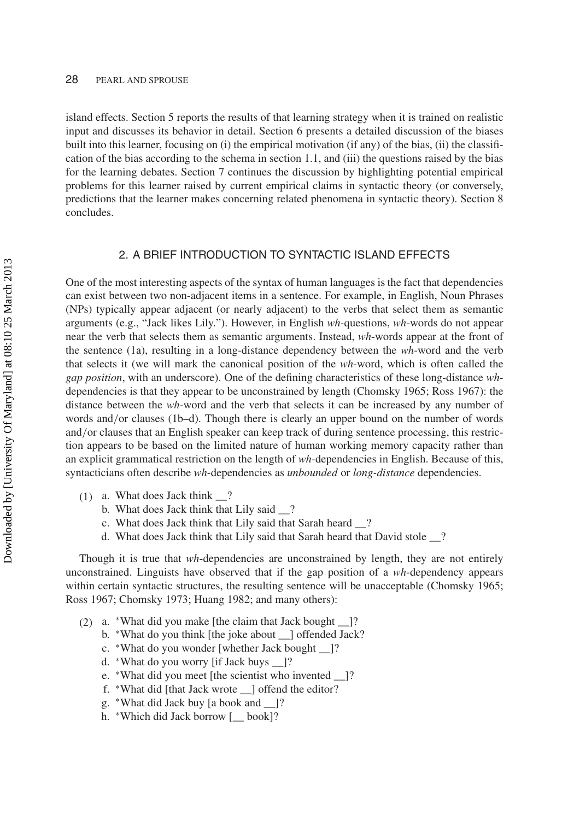island effects. Section 5 reports the results of that learning strategy when it is trained on realistic input and discusses its behavior in detail. Section 6 presents a detailed discussion of the biases built into this learner, focusing on (i) the empirical motivation (if any) of the bias, (ii) the classification of the bias according to the schema in section 1.1, and (iii) the questions raised by the bias for the learning debates. Section 7 continues the discussion by highlighting potential empirical problems for this learner raised by current empirical claims in syntactic theory (or conversely, predictions that the learner makes concerning related phenomena in syntactic theory). Section 8 concludes.

# 2. A BRIEF INTRODUCTION TO SYNTACTIC ISLAND EFFECTS

One of the most interesting aspects of the syntax of human languages is the fact that dependencies can exist between two non-adjacent items in a sentence. For example, in English, Noun Phrases (NPs) typically appear adjacent (or nearly adjacent) to the verbs that select them as semantic arguments (e.g., "Jack likes Lily."). However, in English *wh-*questions, *wh*-words do not appear near the verb that selects them as semantic arguments. Instead, *wh*-words appear at the front of the sentence (1a), resulting in a long-distance dependency between the *wh*-word and the verb that selects it (we will mark the canonical position of the *wh*-word, which is often called the *gap position*, with an underscore). One of the defining characteristics of these long-distance *wh*dependencies is that they appear to be unconstrained by length (Chomsky 1965; Ross 1967): the distance between the *wh*-word and the verb that selects it can be increased by any number of words and/or clauses (1b–d). Though there is clearly an upper bound on the number of words and/or clauses that an English speaker can keep track of during sentence processing, this restriction appears to be based on the limited nature of human working memory capacity rather than an explicit grammatical restriction on the length of *wh*-dependencies in English. Because of this, syntacticians often describe *wh*-dependencies as *unbounded* or *long-distance* dependencies.

- (1) a. What does Jack think  $\frac{1}{2}$ ?
	- b. What does Jack think that Lily said \_\_?
	- c. What does Jack think that Lily said that Sarah heard \_\_?
	- d. What does Jack think that Lily said that Sarah heard that David stole \_\_?

Though it is true that *wh*-dependencies are unconstrained by length, they are not entirely unconstrained. Linguists have observed that if the gap position of a *wh*-dependency appears within certain syntactic structures, the resulting sentence will be unacceptable (Chomsky 1965; Ross 1967; Chomsky 1973; Huang 1982; and many others):

- (2) a. <sup>∗</sup>What did you make [the claim that Jack bought \_\_]?
	- b. <sup>∗</sup>What do you think [the joke about \_\_] offended Jack?
	- c. <sup>∗</sup>What do you wonder [whether Jack bought \_\_]?
	- d. <sup>∗</sup>What do you worry [if Jack buys \_\_]?
	- e. \*What did you meet [the scientist who invented \_\_]?
	- f. \*What did [that Jack wrote \_] offend the editor?
	- g. <sup>∗</sup>What did Jack buy [a book and \_\_]?
	- h. <sup>∗</sup>Which did Jack borrow [\_\_ book]?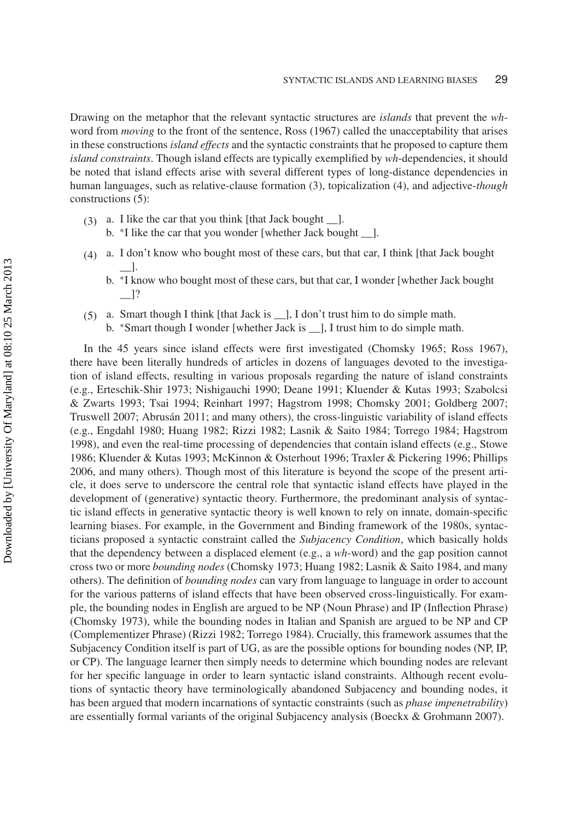Drawing on the metaphor that the relevant syntactic structures are *islands* that prevent the *wh*word from *moving* to the front of the sentence, Ross (1967) called the unacceptability that arises in these constructions *island effects* and the syntactic constraints that he proposed to capture them *island constraints*. Though island effects are typically exemplified by *wh*-dependencies, it should be noted that island effects arise with several different types of long-distance dependencies in human languages, such as relative-clause formation (3), topicalization (4), and adjective-*though* constructions (5):

- (3) a. I like the car that you think [that Jack bought \_\_].
	- b. <sup>∗</sup>I like the car that you wonder [whether Jack bought \_\_].
- (4) a. I don't know who bought most of these cars, but that car, I think [that Jack bought \_\_].
	- b. <sup>∗</sup>I know who bought most of these cars, but that car, I wonder [whether Jack bought \_\_]?
- (5) a. Smart though I think [that Jack is \_\_], I don't trust him to do simple math.
	- b. <sup>∗</sup>Smart though I wonder [whether Jack is \_\_], I trust him to do simple math.

In the 45 years since island effects were first investigated (Chomsky 1965; Ross 1967), there have been literally hundreds of articles in dozens of languages devoted to the investigation of island effects, resulting in various proposals regarding the nature of island constraints (e.g., Erteschik-Shir 1973; Nishigauchi 1990; Deane 1991; Kluender & Kutas 1993; Szabolcsi & Zwarts 1993; Tsai 1994; Reinhart 1997; Hagstrom 1998; Chomsky 2001; Goldberg 2007; Truswell 2007; Abrusán 2011; and many others), the cross-linguistic variability of island effects (e.g., Engdahl 1980; Huang 1982; Rizzi 1982; Lasnik & Saito 1984; Torrego 1984; Hagstrom 1998), and even the real-time processing of dependencies that contain island effects (e.g., Stowe 1986; Kluender & Kutas 1993; McKinnon & Osterhout 1996; Traxler & Pickering 1996; Phillips 2006, and many others). Though most of this literature is beyond the scope of the present article, it does serve to underscore the central role that syntactic island effects have played in the development of (generative) syntactic theory. Furthermore, the predominant analysis of syntactic island effects in generative syntactic theory is well known to rely on innate, domain-specific learning biases. For example, in the Government and Binding framework of the 1980s, syntacticians proposed a syntactic constraint called the *Subjacency Condition*, which basically holds that the dependency between a displaced element (e.g., a *wh*-word) and the gap position cannot cross two or more *bounding nodes* (Chomsky 1973; Huang 1982; Lasnik & Saito 1984, and many others). The definition of *bounding nodes* can vary from language to language in order to account for the various patterns of island effects that have been observed cross-linguistically. For example, the bounding nodes in English are argued to be NP (Noun Phrase) and IP (Inflection Phrase) (Chomsky 1973), while the bounding nodes in Italian and Spanish are argued to be NP and CP (Complementizer Phrase) (Rizzi 1982; Torrego 1984). Crucially, this framework assumes that the Subjacency Condition itself is part of UG, as are the possible options for bounding nodes (NP, IP, or CP). The language learner then simply needs to determine which bounding nodes are relevant for her specific language in order to learn syntactic island constraints. Although recent evolutions of syntactic theory have terminologically abandoned Subjacency and bounding nodes, it has been argued that modern incarnations of syntactic constraints (such as *phase impenetrability*) are essentially formal variants of the original Subjacency analysis (Boeckx & Grohmann 2007).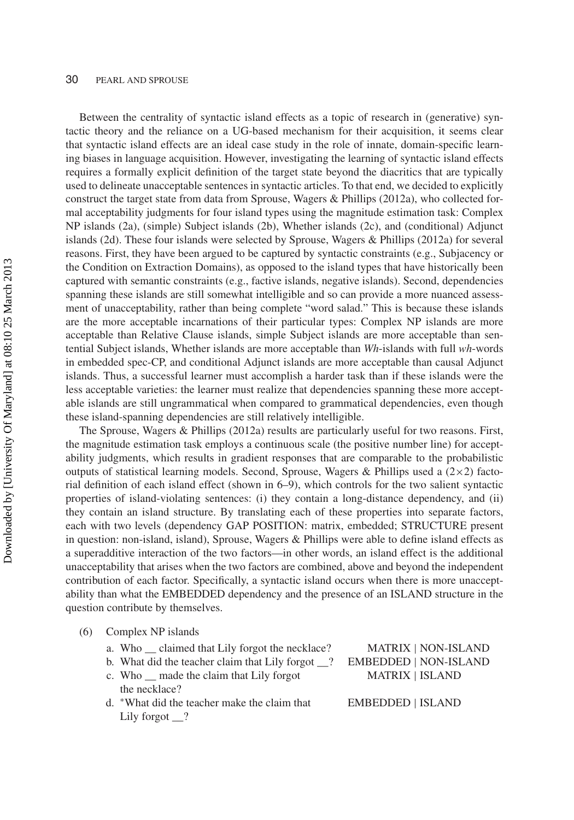Between the centrality of syntactic island effects as a topic of research in (generative) syntactic theory and the reliance on a UG-based mechanism for their acquisition, it seems clear that syntactic island effects are an ideal case study in the role of innate, domain-specific learning biases in language acquisition. However, investigating the learning of syntactic island effects requires a formally explicit definition of the target state beyond the diacritics that are typically used to delineate unacceptable sentences in syntactic articles. To that end, we decided to explicitly construct the target state from data from Sprouse, Wagers & Phillips (2012a), who collected formal acceptability judgments for four island types using the magnitude estimation task: Complex NP islands (2a), (simple) Subject islands (2b), Whether islands (2c), and (conditional) Adjunct islands (2d). These four islands were selected by Sprouse, Wagers & Phillips (2012a) for several reasons. First, they have been argued to be captured by syntactic constraints (e.g., Subjacency or the Condition on Extraction Domains), as opposed to the island types that have historically been captured with semantic constraints (e.g., factive islands, negative islands). Second, dependencies spanning these islands are still somewhat intelligible and so can provide a more nuanced assessment of unacceptability, rather than being complete "word salad." This is because these islands are the more acceptable incarnations of their particular types: Complex NP islands are more acceptable than Relative Clause islands, simple Subject islands are more acceptable than sentential Subject islands, Whether islands are more acceptable than *Wh*-islands with full *wh*-words in embedded spec-CP, and conditional Adjunct islands are more acceptable than causal Adjunct islands. Thus, a successful learner must accomplish a harder task than if these islands were the less acceptable varieties: the learner must realize that dependencies spanning these more acceptable islands are still ungrammatical when compared to grammatical dependencies, even though these island-spanning dependencies are still relatively intelligible.

The Sprouse, Wagers & Phillips (2012a) results are particularly useful for two reasons. First, the magnitude estimation task employs a continuous scale (the positive number line) for acceptability judgments, which results in gradient responses that are comparable to the probabilistic outputs of statistical learning models. Second, Sprouse, Wagers & Phillips used a  $(2\times2)$  factorial definition of each island effect (shown in 6–9), which controls for the two salient syntactic properties of island-violating sentences: (i) they contain a long-distance dependency, and (ii) they contain an island structure. By translating each of these properties into separate factors, each with two levels (dependency GAP POSITION: matrix, embedded; STRUCTURE present in question: non-island, island), Sprouse, Wagers & Phillips were able to define island effects as a superadditive interaction of the two factors—in other words, an island effect is the additional unacceptability that arises when the two factors are combined, above and beyond the independent contribution of each factor. Specifically, a syntactic island occurs when there is more unacceptability than what the EMBEDDED dependency and the presence of an ISLAND structure in the question contribute by themselves.

- (6) Complex NP islands
	-
	-
	- c. Who  $\equiv$  made the claim that Lily forgot the necklace?
	- d. \*What did the teacher make the claim that EMBEDDED | ISLAND Lily forgot ?

a. Who  $\_\_$  claimed that Lily forgot the necklace? MATRIX | NON-ISLAND<br>b. What did the teacher claim that Lily forgot  $\_\_$ ? EMBEDDED | NON-ISLAND b. What did the teacher claim that Lily forgot \_\_? EMBEDDED | NON-ISI<br>c. Who made the claim that Lily forgot MATRIX | ISLAND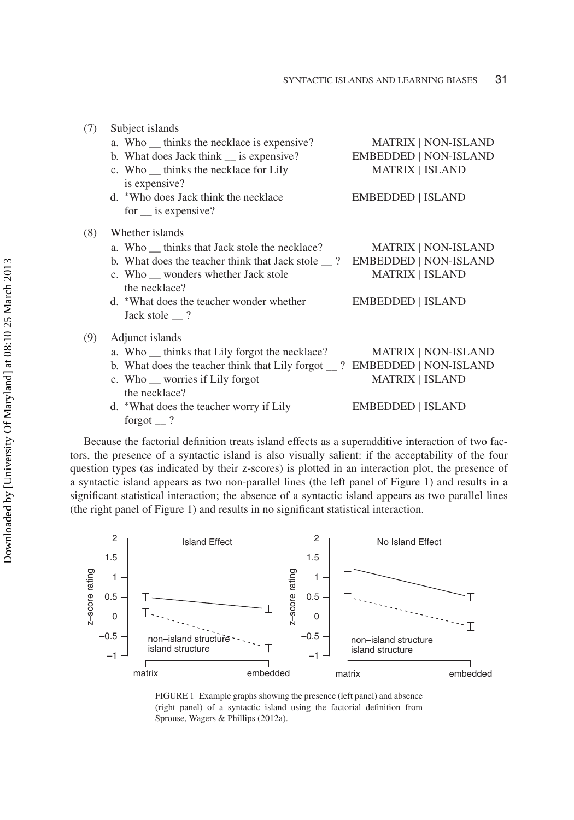| (7) | Subject islands                                                               |                              |
|-----|-------------------------------------------------------------------------------|------------------------------|
|     | a. Who _ thinks the necklace is expensive?                                    | <b>MATRIX   NON-ISLAND</b>   |
|     | b. What does Jack think _ is expensive?                                       | <b>EMBEDDED   NON-ISLAND</b> |
|     | c. Who _ thinks the necklace for Lily                                         | <b>MATRIX   ISLAND</b>       |
|     | is expensive?                                                                 |                              |
|     | d. *Who does Jack think the necklace                                          | <b>EMBEDDED</b>   ISLAND     |
|     | for $\equiv$ is expensive?                                                    |                              |
| (8) | Whether islands                                                               |                              |
|     | a. Who __ thinks that Jack stole the necklace?                                | <b>MATRIX   NON-ISLAND</b>   |
|     | b. What does the teacher think that Jack stole $\_\,$ ? EMBEDDED   NON-ISLAND |                              |
|     | c. Who __ wonders whether Jack stole                                          | <b>MATRIX   ISLAND</b>       |
|     | the necklace?                                                                 |                              |
|     | d. *What does the teacher wonder whether                                      | <b>EMBEDDED</b>   ISLAND     |
|     | Jack stole $\_\,$ ?                                                           |                              |
| (9) | Adjunct islands                                                               |                              |
|     | a. Who $\equiv$ thinks that Lily forgot the necklace?                         | <b>MATRIX   NON-ISLAND</b>   |
|     | b. What does the teacher think that Lily forgot _? EMBEDDED   NON-ISLAND      |                              |
|     | c. Who _ worries if Lily forgot                                               | <b>MATRIX   ISLAND</b>       |
|     | the necklace?                                                                 |                              |
|     | d. *What does the teacher worry if Lily                                       | <b>EMBEDDED   ISLAND</b>     |
|     | forgot $\_\$ ?                                                                |                              |
|     |                                                                               |                              |

Because the factorial definition treats island effects as a superadditive interaction of two factors, the presence of a syntactic island is also visually salient: if the acceptability of the four question types (as indicated by their z-scores) is plotted in an interaction plot, the presence of a syntactic island appears as two non-parallel lines (the left panel of Figure 1) and results in a significant statistical interaction; the absence of a syntactic island appears as two parallel lines (the right panel of Figure 1) and results in no significant statistical interaction.



FIGURE 1 Example graphs showing the presence (left panel) and absence (right panel) of a syntactic island using the factorial definition from Sprouse, Wagers & Phillips (2012a).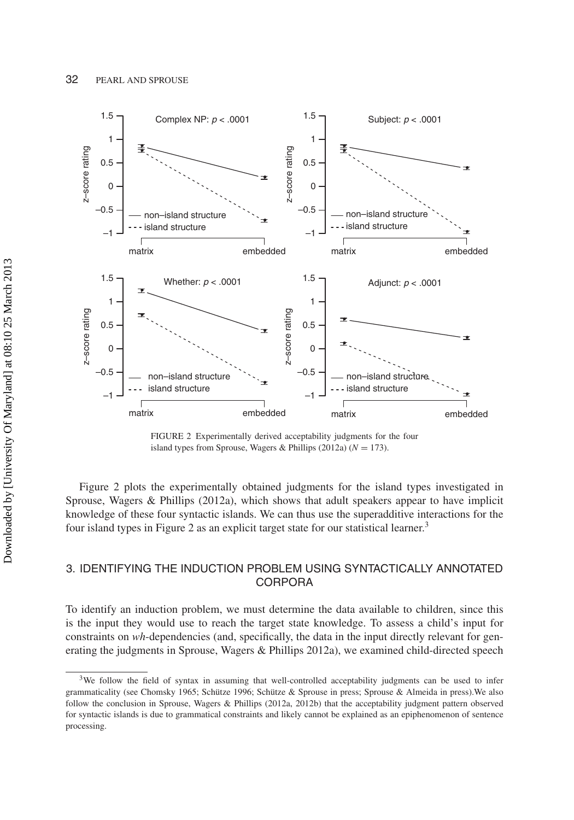

FIGURE 2 Experimentally derived acceptability judgments for the four island types from Sprouse, Wagers & Phillips (2012a)  $(N = 173)$ .

Figure 2 plots the experimentally obtained judgments for the island types investigated in Sprouse, Wagers & Phillips (2012a), which shows that adult speakers appear to have implicit knowledge of these four syntactic islands. We can thus use the superadditive interactions for the four island types in Figure 2 as an explicit target state for our statistical learner.<sup>3</sup>

# 3. IDENTIFYING THE INDUCTION PROBLEM USING SYNTACTICALLY ANNOTATED **CORPORA**

To identify an induction problem, we must determine the data available to children, since this is the input they would use to reach the target state knowledge. To assess a child's input for constraints on *wh*-dependencies (and, specifically, the data in the input directly relevant for generating the judgments in Sprouse, Wagers & Phillips 2012a), we examined child-directed speech

<sup>&</sup>lt;sup>3</sup>We follow the field of syntax in assuming that well-controlled acceptability judgments can be used to infer grammaticality (see Chomsky 1965; Schütze 1996; Schütze & Sprouse in press; Sprouse & Almeida in press).We also follow the conclusion in Sprouse, Wagers & Phillips (2012a, 2012b) that the acceptability judgment pattern observed for syntactic islands is due to grammatical constraints and likely cannot be explained as an epiphenomenon of sentence processing.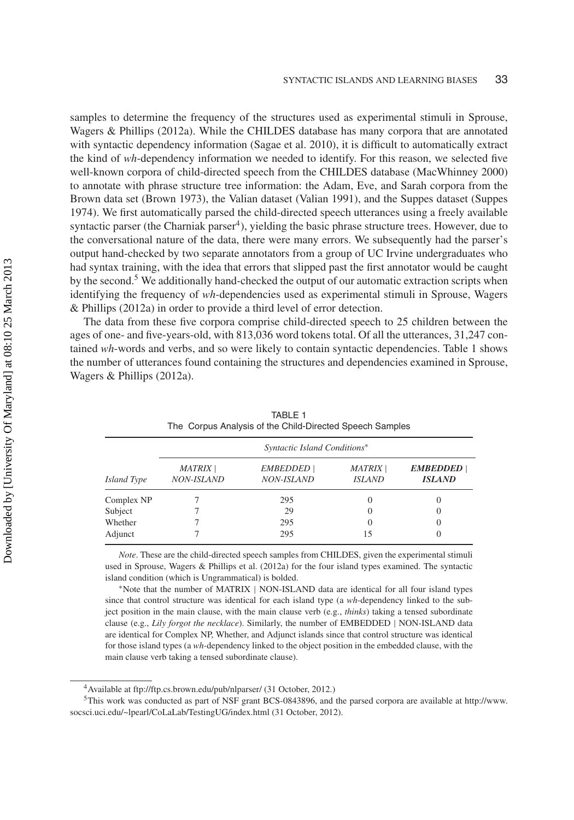samples to determine the frequency of the structures used as experimental stimuli in Sprouse, Wagers & Phillips (2012a). While the CHILDES database has many corpora that are annotated with syntactic dependency information (Sagae et al. 2010), it is difficult to automatically extract the kind of *wh*-dependency information we needed to identify. For this reason, we selected five well-known corpora of child-directed speech from the CHILDES database (MacWhinney 2000) to annotate with phrase structure tree information: the Adam, Eve, and Sarah corpora from the Brown data set (Brown 1973), the Valian dataset (Valian 1991), and the Suppes dataset (Suppes 1974). We first automatically parsed the child-directed speech utterances using a freely available syntactic parser (the Charniak parser $4$ ), yielding the basic phrase structure trees. However, due to the conversational nature of the data, there were many errors. We subsequently had the parser's output hand-checked by two separate annotators from a group of UC Irvine undergraduates who had syntax training, with the idea that errors that slipped past the first annotator would be caught by the second.<sup>5</sup> We additionally hand-checked the output of our automatic extraction scripts when identifying the frequency of *wh-*dependencies used as experimental stimuli in Sprouse, Wagers & Phillips (2012a) in order to provide a third level of error detection.

The data from these five corpora comprise child-directed speech to 25 children between the ages of one- and five-years-old, with 813,036 word tokens total. Of all the utterances, 31,247 contained *wh*-words and verbs, and so were likely to contain syntactic dependencies. Table 1 shows the number of utterances found containing the structures and dependencies examined in Sprouse, Wagers & Phillips (2012a).

|             | Syntactic Island Conditions*       |                          |                                |                                  |  |  |
|-------------|------------------------------------|--------------------------|--------------------------------|----------------------------------|--|--|
| Island Type | <b>MATRIX</b><br><b>NON-ISLAND</b> | EMBEDDED  <br>NON-ISLAND | <b>MATRIX</b><br><b>ISLAND</b> | <b>EMBEDDED</b><br><b>ISLAND</b> |  |  |
| Complex NP  |                                    | 295                      |                                |                                  |  |  |
| Subject     |                                    | 29                       |                                | $\theta$                         |  |  |
| Whether     |                                    | 295                      |                                |                                  |  |  |
| Adjunct     |                                    | 295                      | 15                             |                                  |  |  |

TABLE 1 The Corpus Analysis of the Child-Directed Speech Samples

*Note*. These are the child-directed speech samples from CHILDES, given the experimental stimuli used in Sprouse, Wagers & Phillips et al. (2012a) for the four island types examined. The syntactic island condition (which is Ungrammatical) is bolded.

<sup>∗</sup>Note that the number of MATRIX | NON-ISLAND data are identical for all four island types since that control structure was identical for each island type (a *wh*-dependency linked to the subject position in the main clause, with the main clause verb (e.g., *thinks*) taking a tensed subordinate clause (e.g., *Lily forgot the necklace*). Similarly, the number of EMBEDDED | NON-ISLAND data are identical for Complex NP, Whether, and Adjunct islands since that control structure was identical for those island types (a *wh-*dependency linked to the object position in the embedded clause, with the main clause verb taking a tensed subordinate clause).

<sup>4</sup>Available at ftp://ftp.cs.brown.edu/pub/nlparser/ (31 October, 2012.)

<sup>5</sup>This work was conducted as part of NSF grant BCS-0843896, and the parsed corpora are available at http://www. socsci.uci.edu/~lpearl/CoLaLab/TestingUG/index.html (31 October, 2012).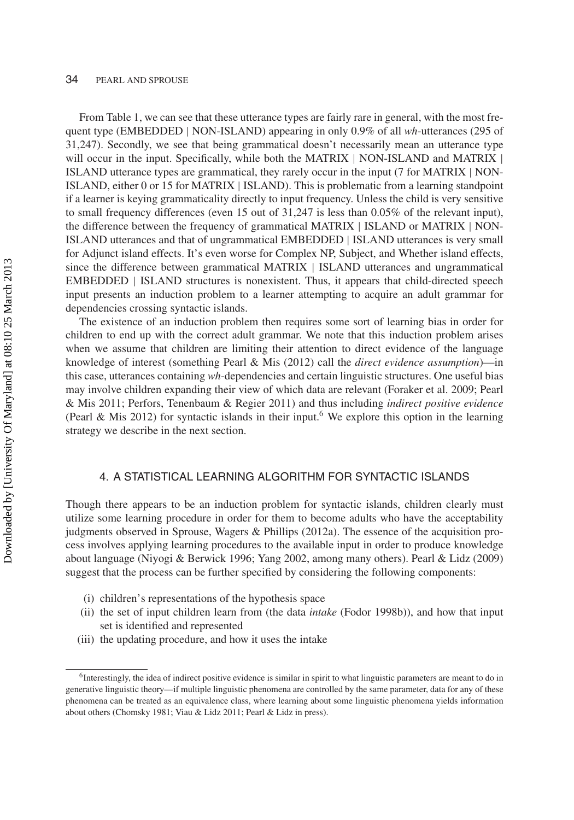From Table 1, we can see that these utterance types are fairly rare in general, with the most frequent type (EMBEDDED | NON-ISLAND) appearing in only 0.9% of all *wh*-utterances (295 of 31,247). Secondly, we see that being grammatical doesn't necessarily mean an utterance type will occur in the input. Specifically, while both the MATRIX | NON-ISLAND and MATRIX | ISLAND utterance types are grammatical, they rarely occur in the input (7 for MATRIX | NON-ISLAND, either 0 or 15 for MATRIX | ISLAND). This is problematic from a learning standpoint if a learner is keying grammaticality directly to input frequency. Unless the child is very sensitive to small frequency differences (even 15 out of 31,247 is less than 0.05% of the relevant input), the difference between the frequency of grammatical MATRIX | ISLAND or MATRIX | NON-ISLAND utterances and that of ungrammatical EMBEDDED | ISLAND utterances is very small for Adjunct island effects. It's even worse for Complex NP, Subject, and Whether island effects, since the difference between grammatical MATRIX | ISLAND utterances and ungrammatical EMBEDDED | ISLAND structures is nonexistent. Thus, it appears that child-directed speech input presents an induction problem to a learner attempting to acquire an adult grammar for dependencies crossing syntactic islands.

The existence of an induction problem then requires some sort of learning bias in order for children to end up with the correct adult grammar. We note that this induction problem arises when we assume that children are limiting their attention to direct evidence of the language knowledge of interest (something Pearl & Mis (2012) call the *direct evidence assumption*)—in this case, utterances containing *wh*-dependencies and certain linguistic structures. One useful bias may involve children expanding their view of which data are relevant (Foraker et al. 2009; Pearl & Mis 2011; Perfors, Tenenbaum & Regier 2011) and thus including *indirect positive evidence* (Pearl & Mis 2012) for syntactic islands in their input.<sup>6</sup> We explore this option in the learning strategy we describe in the next section.

# 4. A STATISTICAL LEARNING ALGORITHM FOR SYNTACTIC ISLANDS

Though there appears to be an induction problem for syntactic islands, children clearly must utilize some learning procedure in order for them to become adults who have the acceptability judgments observed in Sprouse, Wagers & Phillips (2012a). The essence of the acquisition process involves applying learning procedures to the available input in order to produce knowledge about language (Niyogi & Berwick 1996; Yang 2002, among many others). Pearl & Lidz (2009) suggest that the process can be further specified by considering the following components:

- (i) children's representations of the hypothesis space
- (ii) the set of input children learn from (the data *intake* (Fodor 1998b)), and how that input set is identified and represented
- (iii) the updating procedure, and how it uses the intake

 $6$ Interestingly, the idea of indirect positive evidence is similar in spirit to what linguistic parameters are meant to do in generative linguistic theory—if multiple linguistic phenomena are controlled by the same parameter, data for any of these phenomena can be treated as an equivalence class, where learning about some linguistic phenomena yields information about others (Chomsky 1981; Viau & Lidz 2011; Pearl & Lidz in press).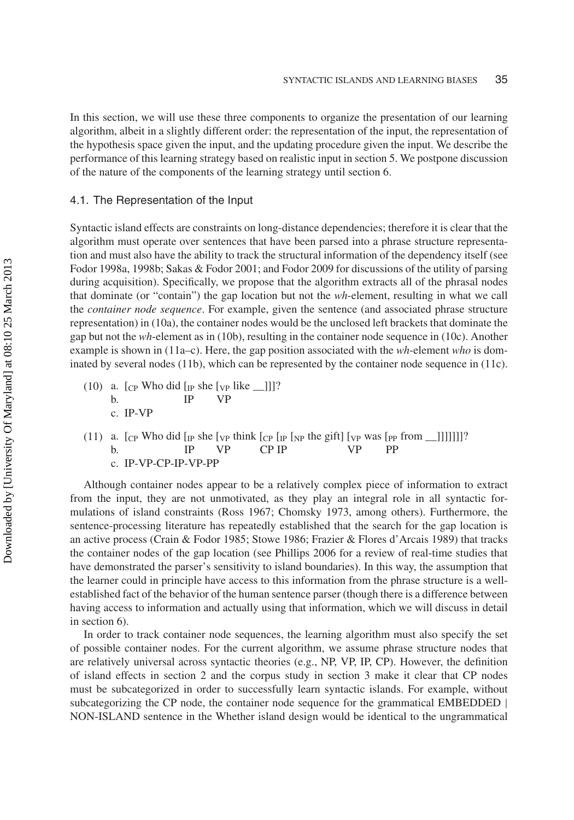In this section, we will use these three components to organize the presentation of our learning algorithm, albeit in a slightly different order: the representation of the input, the representation of the hypothesis space given the input, and the updating procedure given the input. We describe the performance of this learning strategy based on realistic input in section 5. We postpone discussion of the nature of the components of the learning strategy until section 6.

#### 4.1. The Representation of the Input

Syntactic island effects are constraints on long-distance dependencies; therefore it is clear that the algorithm must operate over sentences that have been parsed into a phrase structure representation and must also have the ability to track the structural information of the dependency itself (see Fodor 1998a, 1998b; Sakas & Fodor 2001; and Fodor 2009 for discussions of the utility of parsing during acquisition). Specifically, we propose that the algorithm extracts all of the phrasal nodes that dominate (or "contain") the gap location but not the *wh*-element, resulting in what we call the *container node sequence*. For example, given the sentence (and associated phrase structure representation) in (10a), the container nodes would be the unclosed left brackets that dominate the gap but not the *wh*-element as in (10b), resulting in the container node sequence in (10c). Another example is shown in (11a–c). Here, the gap position associated with the *wh*-element *who* is dominated by several nodes (11b), which can be represented by the container node sequence in (11c).

- (10) a.  $\lbrack \mathbf{C} \rbrack P$  Who did  $\lbrack \mathbf{I} \rbrack P$  she  $\lbrack \mathbf{V} \rbrack P$  like  $\lbrack \rbrack P$ b. IP VP c. IP-VP
- (11) a.  $[CP$  Who did  $[IP \text{ she } [VP]$  think  $[CP$   $[IP \text{ he } gift]$   $[VP \text{ was } [PP \text{ from } []]]]]$ ?<br>b.  $[PP \text{ VP } PP$ b. IP VP CP IP VP PP c. IP-VP-CP-IP-VP-PP

Although container nodes appear to be a relatively complex piece of information to extract from the input, they are not unmotivated, as they play an integral role in all syntactic formulations of island constraints (Ross 1967; Chomsky 1973, among others). Furthermore, the sentence-processing literature has repeatedly established that the search for the gap location is an active process (Crain & Fodor 1985; Stowe 1986; Frazier & Flores d'Arcais 1989) that tracks the container nodes of the gap location (see Phillips 2006 for a review of real-time studies that have demonstrated the parser's sensitivity to island boundaries). In this way, the assumption that the learner could in principle have access to this information from the phrase structure is a wellestablished fact of the behavior of the human sentence parser (though there is a difference between having access to information and actually using that information, which we will discuss in detail in section 6).

In order to track container node sequences, the learning algorithm must also specify the set of possible container nodes. For the current algorithm, we assume phrase structure nodes that are relatively universal across syntactic theories (e.g., NP, VP, IP, CP). However, the definition of island effects in section 2 and the corpus study in section 3 make it clear that CP nodes must be subcategorized in order to successfully learn syntactic islands. For example, without subcategorizing the CP node, the container node sequence for the grammatical EMBEDDED NON-ISLAND sentence in the Whether island design would be identical to the ungrammatical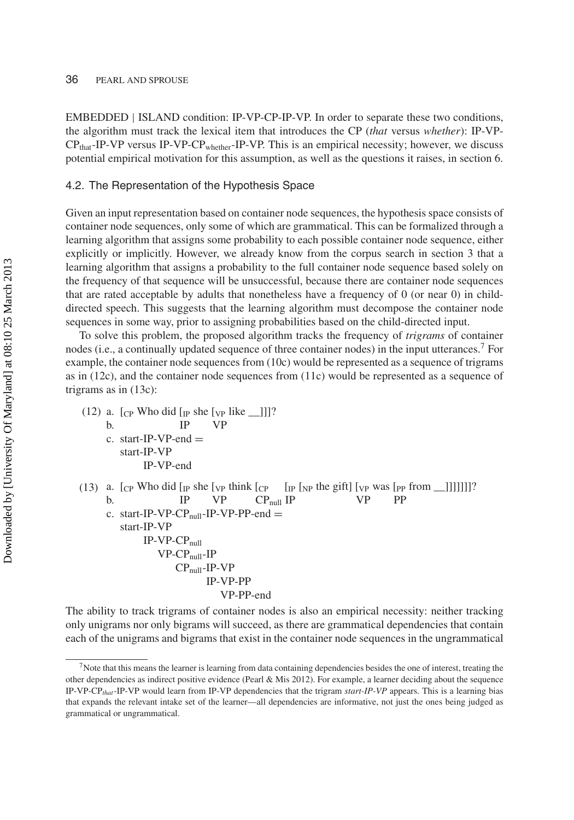EMBEDDED | ISLAND condition: IP-VP-CP-IP-VP. In order to separate these two conditions, the algorithm must track the lexical item that introduces the CP (*that* versus *whether*): IP-VP- $CP<sub>that</sub>$ -IP-VP versus IP-VP-CP<sub>whether</sub>-IP-VP. This is an empirical necessity; however, we discuss potential empirical motivation for this assumption, as well as the questions it raises, in section 6.

#### 4.2. The Representation of the Hypothesis Space

Given an input representation based on container node sequences, the hypothesis space consists of container node sequences, only some of which are grammatical. This can be formalized through a learning algorithm that assigns some probability to each possible container node sequence, either explicitly or implicitly. However, we already know from the corpus search in section 3 that a learning algorithm that assigns a probability to the full container node sequence based solely on the frequency of that sequence will be unsuccessful, because there are container node sequences that are rated acceptable by adults that nonetheless have a frequency of 0 (or near 0) in childdirected speech. This suggests that the learning algorithm must decompose the container node sequences in some way, prior to assigning probabilities based on the child-directed input.

To solve this problem, the proposed algorithm tracks the frequency of *trigrams* of container nodes (i.e., a continually updated sequence of three container nodes) in the input utterances.7 For example, the container node sequences from (10c) would be represented as a sequence of trigrams as in (12c), and the container node sequences from (11c) would be represented as a sequence of trigrams as in (13c):

- (12) a. [CP Who did [IP she [VP like \_\_]]]? b. IP VP c. start-IP-VP-end  $=$ start-IP-VP IP-VP-end
- (13) a. [CP Who did [IP she [VP think [CP [IP [NP the gift] [VP was [PP from \_\_]]]]]]]? b. IP VP CP<sub>null</sub> IP VP PP c. start-IP-VP-CP<sub>null</sub>-IP-VP-PP-end  $=$ start-IP-VP IP-VP-CP<sub>null</sub> VP-CP<sub>null</sub>-IP CPnull-IP-VP IP-VP-PP VP-PP-end

The ability to track trigrams of container nodes is also an empirical necessity: neither tracking only unigrams nor only bigrams will succeed, as there are grammatical dependencies that contain each of the unigrams and bigrams that exist in the container node sequences in the ungrammatical

<sup>7</sup>Note that this means the learner is learning from data containing dependencies besides the one of interest, treating the other dependencies as indirect positive evidence (Pearl & Mis 2012). For example, a learner deciding about the sequence IP-VP-CP*that*-IP-VP would learn from IP-VP dependencies that the trigram *start-IP-VP* appears. This is a learning bias that expands the relevant intake set of the learner—all dependencies are informative, not just the ones being judged as grammatical or ungrammatical.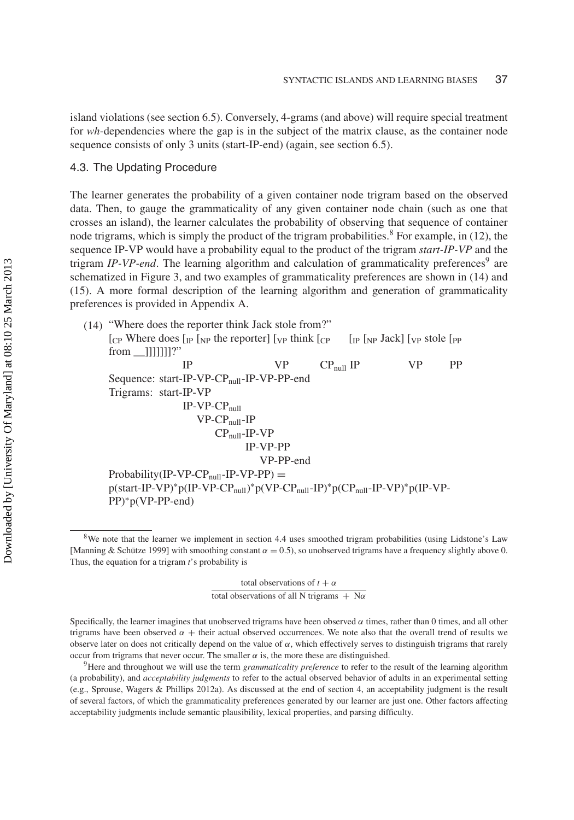island violations (see section 6.5). Conversely, 4-grams (and above) will require special treatment for *wh*-dependencies where the gap is in the subject of the matrix clause, as the container node sequence consists of only 3 units (start-IP-end) (again, see section 6.5).

#### 4.3. The Updating Procedure

The learner generates the probability of a given container node trigram based on the observed data. Then, to gauge the grammaticality of any given container node chain (such as one that crosses an island), the learner calculates the probability of observing that sequence of container node trigrams, which is simply the product of the trigram probabilities.<sup>8</sup> For example, in (12), the sequence IP-VP would have a probability equal to the product of the trigram *start-IP-VP* and the trigram *IP-VP-end*. The learning algorithm and calculation of grammaticality preferences<sup>9</sup> are schematized in Figure 3, and two examples of grammaticality preferences are shown in (14) and (15). A more formal description of the learning algorithm and generation of grammaticality preferences is provided in Appendix A.

| (14) | "Where does the reporter think Jack stole from?"                                                                                                                              |                 |                |  |    |     |
|------|-------------------------------------------------------------------------------------------------------------------------------------------------------------------------------|-----------------|----------------|--|----|-----|
|      | $\lceil_{CP}$ Where does $\lceil_{IP} \rceil_{NP}$ the reporter $\lceil_{VP} \rceil_{NP}$ $\lceil_{CP} \rceil_{NP}$ Jack $\lceil_{VP} \rceil_{NP}$ stole $\lceil_{PP} \rceil$ |                 |                |  |    |     |
|      |                                                                                                                                                                               |                 |                |  |    |     |
|      | IP                                                                                                                                                                            | VP.             | $CP_{null}$ IP |  | VP | PP. |
|      | Sequence: $start$ -IP-VP-CP <sub>null</sub> -IP-VP-PP-end                                                                                                                     |                 |                |  |    |     |
|      | Trigrams: start-IP-VP                                                                                                                                                         |                 |                |  |    |     |
|      | $IP-VP-CP$ <sub>mull</sub>                                                                                                                                                    |                 |                |  |    |     |
|      | $VP-CP_{null}-IP$                                                                                                                                                             |                 |                |  |    |     |
|      | $CP_{\text{null}}$ -IP-VP                                                                                                                                                     |                 |                |  |    |     |
|      |                                                                                                                                                                               | <b>IP-VP-PP</b> |                |  |    |     |
|      |                                                                                                                                                                               | VP-PP-end       |                |  |    |     |
|      | $Probability (IP-VP-CPnull-IP-VP-PP) =$                                                                                                                                       |                 |                |  |    |     |
|      | $p(\text{start-IP-VP})^*p(\text{IP-VP-CP}_{null})^*p(\text{VP-CP}_{null-IP})^*p(\text{CP}_{null-IP-VP})^*p(\text{IP-VP-VP}_{null-IP-VP})$<br>$PP$ <sup>*</sup> $p(VP-PP-end)$ |                 |                |  |    |     |
|      |                                                                                                                                                                               |                 |                |  |    |     |

<sup>8</sup>We note that the learner we implement in section 4.4 uses smoothed trigram probabilities (using Lidstone's Law [Manning & Schütze 1999] with smoothing constant  $\alpha = 0.5$ ), so unobserved trigrams have a frequency slightly above 0. Thus, the equation for a trigram *t*'s probability is

total observations of  $t + \alpha$ total observations of all N trigrams  $+$  N $\alpha$ 

Specifically, the learner imagines that unobserved trigrams have been observed  $\alpha$  times, rather than 0 times, and all other trigrams have been observed  $\alpha$  + their actual observed occurrences. We note also that the overall trend of results we observe later on does not critically depend on the value of  $\alpha$ , which effectively serves to distinguish trigrams that rarely occur from trigrams that never occur. The smaller  $\alpha$  is, the more these are distinguished.

<sup>9</sup>Here and throughout we will use the term *grammaticality preference* to refer to the result of the learning algorithm (a probability), and *acceptability judgments* to refer to the actual observed behavior of adults in an experimental setting (e.g., Sprouse, Wagers & Phillips 2012a). As discussed at the end of section 4, an acceptability judgment is the result of several factors, of which the grammaticality preferences generated by our learner are just one. Other factors affecting acceptability judgments include semantic plausibility, lexical properties, and parsing difficulty.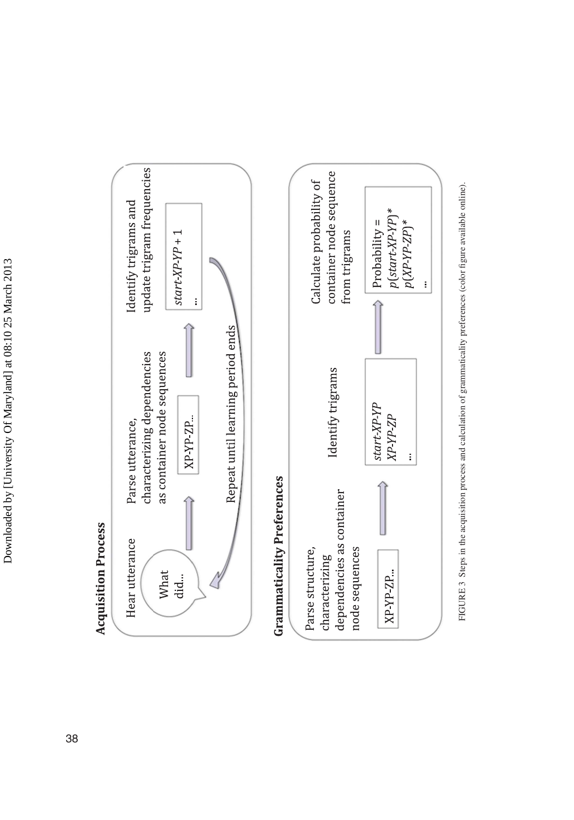







FIGURE 3 Steps in the acquisition process and calculation of grammaticality preferences (color figure available online). FIGURE 3 Steps in the acquisition process and calculation of grammaticality preferences (color figure available online).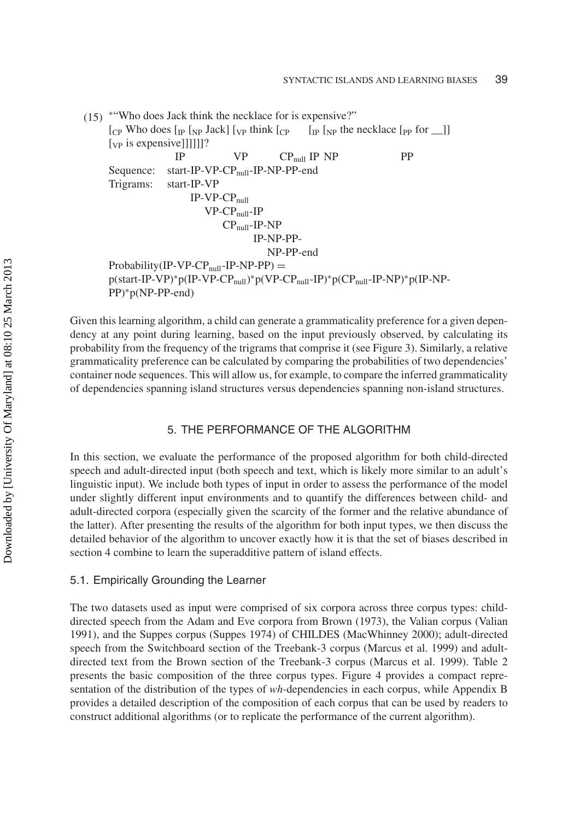(15) <sup>\*</sup>"Who does Jack think the necklace for is expensive?"  $\begin{bmatrix}$  [CP Who does  $\begin{bmatrix}$  [IP  $\end{bmatrix}$  [NP  $\begin{bmatrix}$  Jack]  $\begin{bmatrix}$  [VP think  $\begin{bmatrix}$  [CP  $\end{bmatrix}$  [IP  $\begin{bmatrix}$  [NP the necklace  $\begin{bmatrix}$  [PP for  $\end{bmatrix}$ ]  $[<sub>VP</sub>$  is expensive]]]]]? IP VP CP<sub>null</sub> IP NP PP Sequence: start-IP-VP-CP<sub>null</sub>-IP-NP-PP-end Trigrams: start-IP-VP IP-VP-CP<sub>null</sub>  $VP$ - $CP$ <sub>null</sub>- $IP$  $CP<sub>null</sub>-IP-NP$ IP-NP-PP-NP-PP-end  $Probability/IP-VP-CP<sub>null</sub>-IP-NP-PP)$  = p(start-IP-VP)\*p(IP-VP-CP<sub>null</sub>)\*p(VP-CP<sub>null</sub>-IP)\*p(CP<sub>null</sub>-IP-NP)\*p(IP-NP-PP)∗p(NP-PP-end)

Given this learning algorithm, a child can generate a grammaticality preference for a given dependency at any point during learning, based on the input previously observed, by calculating its probability from the frequency of the trigrams that comprise it (see Figure 3). Similarly, a relative grammaticality preference can be calculated by comparing the probabilities of two dependencies' container node sequences. This will allow us, for example, to compare the inferred grammaticality of dependencies spanning island structures versus dependencies spanning non-island structures.

# 5. THE PERFORMANCE OF THE ALGORITHM

In this section, we evaluate the performance of the proposed algorithm for both child-directed speech and adult-directed input (both speech and text, which is likely more similar to an adult's linguistic input). We include both types of input in order to assess the performance of the model under slightly different input environments and to quantify the differences between child- and adult-directed corpora (especially given the scarcity of the former and the relative abundance of the latter). After presenting the results of the algorithm for both input types, we then discuss the detailed behavior of the algorithm to uncover exactly how it is that the set of biases described in section 4 combine to learn the superadditive pattern of island effects.

# 5.1. Empirically Grounding the Learner

The two datasets used as input were comprised of six corpora across three corpus types: childdirected speech from the Adam and Eve corpora from Brown (1973), the Valian corpus (Valian 1991), and the Suppes corpus (Suppes 1974) of CHILDES (MacWhinney 2000); adult-directed speech from the Switchboard section of the Treebank-3 corpus (Marcus et al. 1999) and adultdirected text from the Brown section of the Treebank-3 corpus (Marcus et al. 1999). Table 2 presents the basic composition of the three corpus types. Figure 4 provides a compact representation of the distribution of the types of *wh-*dependencies in each corpus, while Appendix B provides a detailed description of the composition of each corpus that can be used by readers to construct additional algorithms (or to replicate the performance of the current algorithm).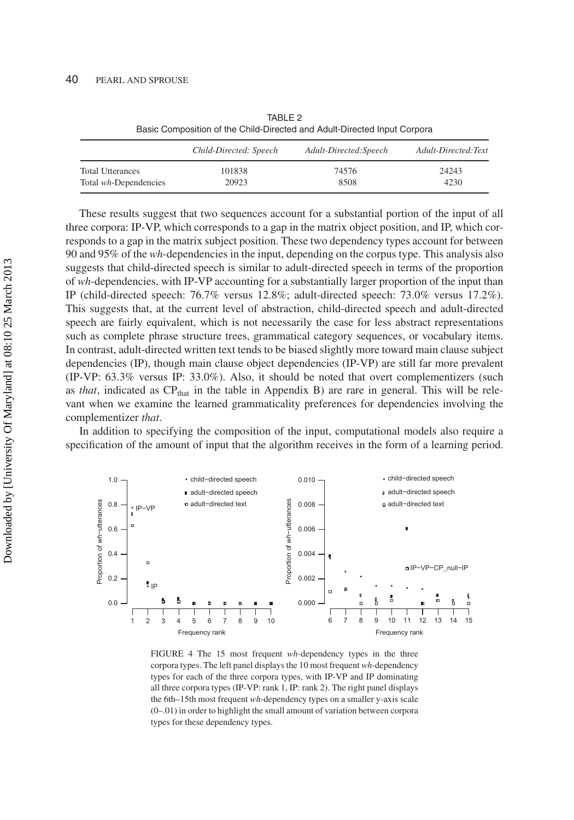|                               | Child-Directed: Speech | Adult-Directed: Speech | Adult-Directed:Text |
|-------------------------------|------------------------|------------------------|---------------------|
| Total Utterances              | 101838                 | 74576                  | 24243               |
| Total <i>wh</i> -Dependencies | 20923                  | 8508                   | 4230                |

TABLE 2 Basic Composition of the Child-Directed and Adult-Directed Input Corpora

These results suggest that two sequences account for a substantial portion of the input of all three corpora: IP-VP, which corresponds to a gap in the matrix object position, and IP, which corresponds to a gap in the matrix subject position. These two dependency types account for between 90 and 95% of the *wh*-dependencies in the input, depending on the corpus type. This analysis also suggests that child-directed speech is similar to adult-directed speech in terms of the proportion of *wh*-dependencies, with IP-VP accounting for a substantially larger proportion of the input than IP (child-directed speech: 76.7% versus 12.8%; adult-directed speech: 73.0% versus 17.2%). This suggests that, at the current level of abstraction, child-directed speech and adult-directed speech are fairly equivalent, which is not necessarily the case for less abstract representations such as complete phrase structure trees, grammatical category sequences, or vocabulary items. In contrast, adult-directed written text tends to be biased slightly more toward main clause subject dependencies (IP), though main clause object dependencies (IP-VP) are still far more prevalent (IP-VP: 63.3% versus IP: 33.0%). Also, it should be noted that overt complementizers (such as *that*, indicated as CP<sub>that</sub> in the table in Appendix B) are rare in general. This will be relevant when we examine the learned grammaticality preferences for dependencies involving the complementizer *that*.

In addition to specifying the composition of the input, computational models also require a specification of the amount of input that the algorithm receives in the form of a learning period.



FIGURE 4 The 15 most frequent *wh*-dependency types in the three corpora types. The left panel displays the 10 most frequent *wh*-dependency types for each of the three corpora types, with IP-VP and IP dominating all three corpora types (IP-VP: rank 1, IP: rank 2). The right panel displays the 6th–15th most frequent *wh*-dependency types on a smaller y-axis scale (0–.01) in order to highlight the small amount of variation between corpora types for these dependency types.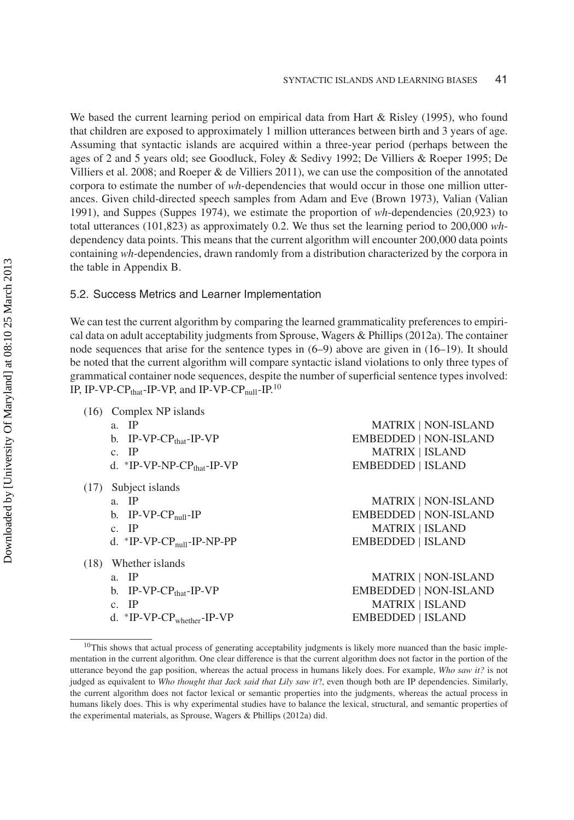We based the current learning period on empirical data from Hart & Risley (1995), who found that children are exposed to approximately 1 million utterances between birth and 3 years of age. Assuming that syntactic islands are acquired within a three-year period (perhaps between the ages of 2 and 5 years old; see Goodluck, Foley & Sedivy 1992; De Villiers & Roeper 1995; De Villiers et al. 2008; and Roeper & de Villiers 2011), we can use the composition of the annotated corpora to estimate the number of *wh*-dependencies that would occur in those one million utterances. Given child-directed speech samples from Adam and Eve (Brown 1973), Valian (Valian 1991), and Suppes (Suppes 1974), we estimate the proportion of *wh*-dependencies (20,923) to total utterances (101,823) as approximately 0.2. We thus set the learning period to 200,000 *wh*dependency data points. This means that the current algorithm will encounter 200,000 data points containing *wh*-dependencies, drawn randomly from a distribution characterized by the corpora in the table in Appendix B.

#### 5.2. Success Metrics and Learner Implementation

We can test the current algorithm by comparing the learned grammaticality preferences to empirical data on adult acceptability judgments from Sprouse, Wagers & Phillips (2012a). The container node sequences that arise for the sentence types in (6–9) above are given in (16–19). It should be noted that the current algorithm will compare syntactic island violations to only three types of grammatical container node sequences, despite the number of superficial sentence types involved: IP, IP-VP-CP<sub>that</sub>-IP-VP, and IP-VP-CP<sub>null</sub>-IP.<sup>10</sup>

|      | (16) Complex NP islands                |                              |
|------|----------------------------------------|------------------------------|
|      | a. IP                                  | <b>MATRIX   NON-ISLAND</b>   |
|      | b. IP-VP- $CP_{\text{that}}$ -IP-VP    | <b>EMBEDDED   NON-ISLAND</b> |
|      | $c.$ IP                                | <b>MATRIX   ISLAND</b>       |
|      | d. *IP-VP-NP-CP <sub>that</sub> -IP-VP | <b>EMBEDDED   ISLAND</b>     |
| (17) | Subject islands                        |                              |
|      | a. IP                                  | <b>MATRIX   NON-ISLAND</b>   |
|      | b. IP-VP- $CP_{null}$ -IP              | <b>EMBEDDED   NON-ISLAND</b> |
|      | $c.$ IP                                | <b>MATRIX   ISLAND</b>       |
|      | d. *IP-VP-CP $_{null}$ -IP-NP-PP       | <b>EMBEDDED   ISLAND</b>     |
| (18) | Whether islands                        |                              |
|      | $a.$ IP                                | <b>MATRIX   NON-ISLAND</b>   |
|      | b. IP-VP- $CP_{\text{that}}$ -IP-VP    | <b>EMBEDDED   NON-ISLAND</b> |
|      | $c. \quad \text{IP}$                   | <b>MATRIX   ISLAND</b>       |
|      | d. *IP-VP- $CP_{whether}$ -IP-VP       | <b>EMBEDDED   ISLAND</b>     |

<sup>&</sup>lt;sup>10</sup>This shows that actual process of generating acceptability judgments is likely more nuanced than the basic implementation in the current algorithm. One clear difference is that the current algorithm does not factor in the portion of the utterance beyond the gap position, whereas the actual process in humans likely does. For example, *Who saw it?* is not judged as equivalent to *Who thought that Jack said that Lily saw it*?, even though both are IP dependencies. Similarly, the current algorithm does not factor lexical or semantic properties into the judgments, whereas the actual process in humans likely does. This is why experimental studies have to balance the lexical, structural, and semantic properties of the experimental materials, as Sprouse, Wagers & Phillips (2012a) did.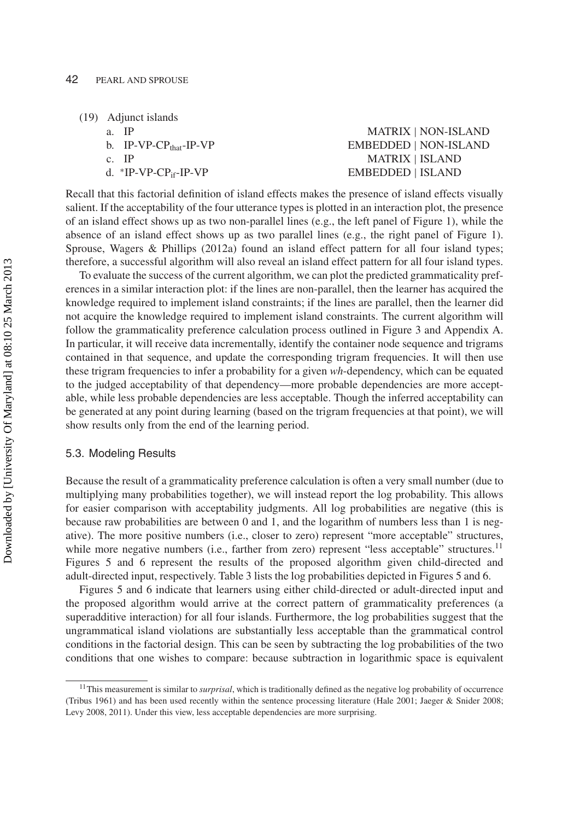(19) Adjunct islands a. IP MATRIX | NON-ISLAND<br>b. IP-VP-CP<sub>that</sub>-IP-VP EMBEDDED | NON-ISLAND b. IP-VP-CP<sub>that</sub>-IP-VP EMBEDDED | NON-ISLAND<br>c. IP MATRIX | ISLAND MATRIX | ISLAND<br>EMBEDDED | ISLAND d. \*IP-VP-CP<sub>if</sub>-IP-VP

Recall that this factorial definition of island effects makes the presence of island effects visually salient. If the acceptability of the four utterance types is plotted in an interaction plot, the presence of an island effect shows up as two non-parallel lines (e.g., the left panel of Figure 1), while the absence of an island effect shows up as two parallel lines (e.g., the right panel of Figure 1). Sprouse, Wagers & Phillips (2012a) found an island effect pattern for all four island types; therefore, a successful algorithm will also reveal an island effect pattern for all four island types.

To evaluate the success of the current algorithm, we can plot the predicted grammaticality preferences in a similar interaction plot: if the lines are non-parallel, then the learner has acquired the knowledge required to implement island constraints; if the lines are parallel, then the learner did not acquire the knowledge required to implement island constraints. The current algorithm will follow the grammaticality preference calculation process outlined in Figure 3 and Appendix A. In particular, it will receive data incrementally, identify the container node sequence and trigrams contained in that sequence, and update the corresponding trigram frequencies. It will then use these trigram frequencies to infer a probability for a given *wh*-dependency, which can be equated to the judged acceptability of that dependency—more probable dependencies are more acceptable, while less probable dependencies are less acceptable. Though the inferred acceptability can be generated at any point during learning (based on the trigram frequencies at that point), we will show results only from the end of the learning period.

# 5.3. Modeling Results

Because the result of a grammaticality preference calculation is often a very small number (due to multiplying many probabilities together), we will instead report the log probability. This allows for easier comparison with acceptability judgments. All log probabilities are negative (this is because raw probabilities are between 0 and 1, and the logarithm of numbers less than 1 is negative). The more positive numbers (i.e., closer to zero) represent "more acceptable" structures, while more negative numbers (i.e., farther from zero) represent "less acceptable" structures.<sup>11</sup> Figures 5 and 6 represent the results of the proposed algorithm given child-directed and adult-directed input, respectively. Table 3 lists the log probabilities depicted in Figures 5 and 6.

Figures 5 and 6 indicate that learners using either child-directed or adult-directed input and the proposed algorithm would arrive at the correct pattern of grammaticality preferences (a superadditive interaction) for all four islands. Furthermore, the log probabilities suggest that the ungrammatical island violations are substantially less acceptable than the grammatical control conditions in the factorial design. This can be seen by subtracting the log probabilities of the two conditions that one wishes to compare: because subtraction in logarithmic space is equivalent

<sup>11</sup>This measurement is similar to *surprisal*, which is traditionally defined as the negative log probability of occurrence (Tribus 1961) and has been used recently within the sentence processing literature (Hale 2001; Jaeger & Snider 2008; Levy 2008, 2011). Under this view, less acceptable dependencies are more surprising.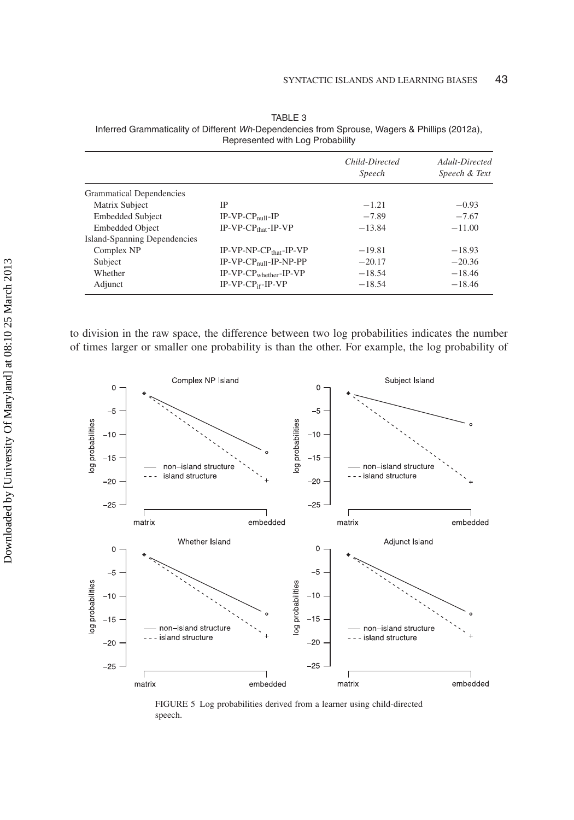|                                     |                                | Child-Directed<br>Speech | Adult-Directed<br>Speech & Text |
|-------------------------------------|--------------------------------|--------------------------|---------------------------------|
| <b>Grammatical Dependencies</b>     |                                |                          |                                 |
| Matrix Subject                      | IP                             | $-1.21$                  | $-0.93$                         |
|                                     |                                |                          |                                 |
| <b>Embedded Subject</b>             | $IP-VP-CP$ <sub>mull</sub> -IP | $-7.89$                  | $-7.67$                         |
| <b>Embedded Object</b>              | $IP-VP-CPthat-IP-VP$           | $-13.84$                 | $-11.00$                        |
| <b>Island-Spanning Dependencies</b> |                                |                          |                                 |
| Complex NP                          | $IP-VP-NP-CPthat-IP-VP$        | $-19.81$                 | $-18.93$                        |
| Subject                             | $IP-VP-CP_{null}-IP-NP-PP$     | $-20.17$                 | $-20.36$                        |
| Whether                             | $IP-VP-CP_{whether}-IP-VP$     | $-18.54$                 | $-18.46$                        |
| Adjunct                             | $IP-VP-CP_{if}-IP-VP$          | $-18.54$                 | $-18.46$                        |

TABLE 3 Inferred Grammaticality of Different *Wh*-Dependencies from Sprouse, Wagers & Phillips (2012a), Represented with Log Probability

to division in the raw space, the difference between two log probabilities indicates the number of times larger or smaller one probability is than the other. For example, the log probability of



FIGURE 5 Log probabilities derived from a learner using child-directed speech.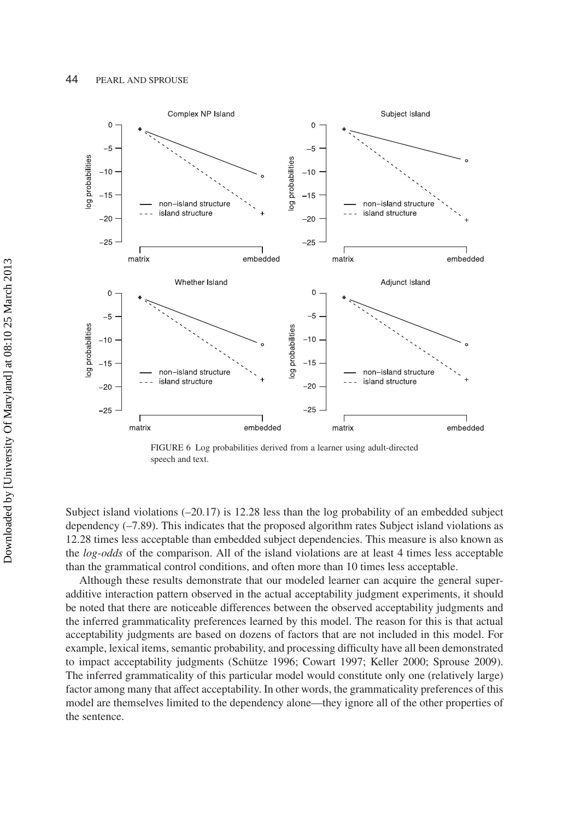

FIGURE 6 Log probabilities derived from a learner using adult-directed speech and text.

Subject island violations (–20.17) is 12.28 less than the log probability of an embedded subject dependency (–7.89). This indicates that the proposed algorithm rates Subject island violations as 12.28 times less acceptable than embedded subject dependencies. This measure is also known as the *log-odds* of the comparison. All of the island violations are at least 4 times less acceptable than the grammatical control conditions, and often more than 10 times less acceptable.

Although these results demonstrate that our modeled learner can acquire the general superadditive interaction pattern observed in the actual acceptability judgment experiments, it should be noted that there are noticeable differences between the observed acceptability judgments and the inferred grammaticality preferences learned by this model. The reason for this is that actual acceptability judgments are based on dozens of factors that are not included in this model. For example, lexical items, semantic probability, and processing difficulty have all been demonstrated to impact acceptability judgments (Schütze 1996; Cowart 1997; Keller 2000; Sprouse 2009). The inferred grammaticality of this particular model would constitute only one (relatively large) factor among many that affect acceptability. In other words, the grammaticality preferences of this model are themselves limited to the dependency alone—they ignore all of the other properties of the sentence.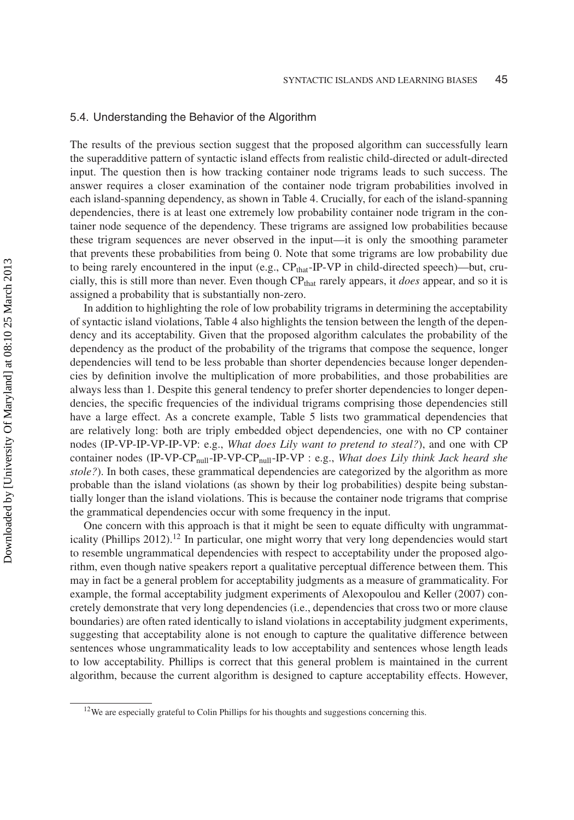#### 5.4. Understanding the Behavior of the Algorithm

The results of the previous section suggest that the proposed algorithm can successfully learn the superadditive pattern of syntactic island effects from realistic child-directed or adult-directed input. The question then is how tracking container node trigrams leads to such success. The answer requires a closer examination of the container node trigram probabilities involved in each island-spanning dependency, as shown in Table 4. Crucially, for each of the island-spanning dependencies, there is at least one extremely low probability container node trigram in the container node sequence of the dependency. These trigrams are assigned low probabilities because these trigram sequences are never observed in the input—it is only the smoothing parameter that prevents these probabilities from being 0. Note that some trigrams are low probability due to being rarely encountered in the input (e.g.,  $CP<sub>that</sub>-IP-VP$  in child-directed speech)—but, crucially, this is still more than never. Even though CP<sub>that</sub> rarely appears, it *does* appear, and so it is assigned a probability that is substantially non-zero.

In addition to highlighting the role of low probability trigrams in determining the acceptability of syntactic island violations, Table 4 also highlights the tension between the length of the dependency and its acceptability. Given that the proposed algorithm calculates the probability of the dependency as the product of the probability of the trigrams that compose the sequence, longer dependencies will tend to be less probable than shorter dependencies because longer dependencies by definition involve the multiplication of more probabilities, and those probabilities are always less than 1. Despite this general tendency to prefer shorter dependencies to longer dependencies, the specific frequencies of the individual trigrams comprising those dependencies still have a large effect. As a concrete example, Table 5 lists two grammatical dependencies that are relatively long: both are triply embedded object dependencies, one with no CP container nodes (IP-VP-IP-VP-IP-VP: e.g., *What does Lily want to pretend to steal?*), and one with CP container nodes (IP-VP-CPnull-IP-VP-CPnull-IP-VP : e.g., *What does Lily think Jack heard she stole?*). In both cases, these grammatical dependencies are categorized by the algorithm as more probable than the island violations (as shown by their log probabilities) despite being substantially longer than the island violations. This is because the container node trigrams that comprise the grammatical dependencies occur with some frequency in the input.

One concern with this approach is that it might be seen to equate difficulty with ungrammaticality (Phillips 2012).<sup>12</sup> In particular, one might worry that very long dependencies would start to resemble ungrammatical dependencies with respect to acceptability under the proposed algorithm, even though native speakers report a qualitative perceptual difference between them. This may in fact be a general problem for acceptability judgments as a measure of grammaticality. For example, the formal acceptability judgment experiments of Alexopoulou and Keller (2007) concretely demonstrate that very long dependencies (i.e., dependencies that cross two or more clause boundaries) are often rated identically to island violations in acceptability judgment experiments, suggesting that acceptability alone is not enough to capture the qualitative difference between sentences whose ungrammaticality leads to low acceptability and sentences whose length leads to low acceptability. Phillips is correct that this general problem is maintained in the current algorithm, because the current algorithm is designed to capture acceptability effects. However,

<sup>&</sup>lt;sup>12</sup>We are especially grateful to Colin Phillips for his thoughts and suggestions concerning this.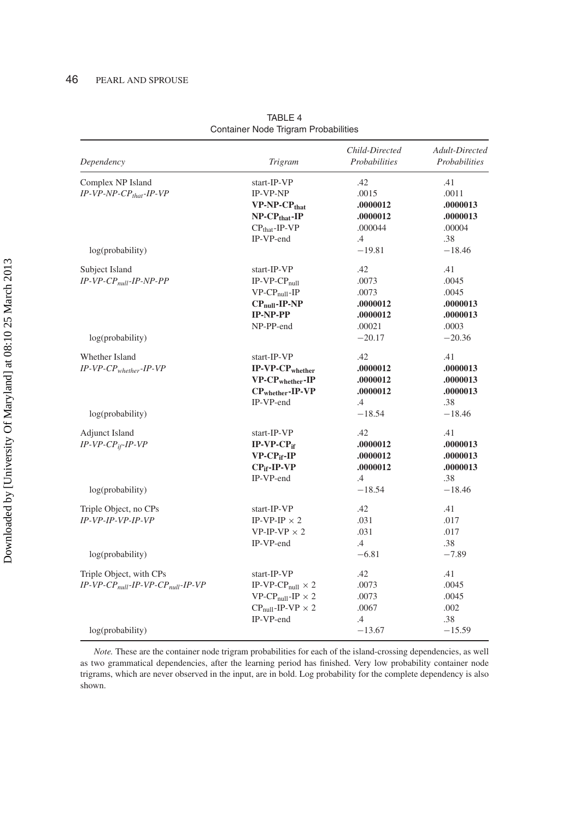| Dependency                              | Trigram                             | Child-Directed<br>Probabilities | Adult-Directed<br>Probabilities |
|-----------------------------------------|-------------------------------------|---------------------------------|---------------------------------|
| Complex NP Island                       | start-IP-VP                         | .42                             | .41                             |
| $IP-VP-NP-CPthat-IP-VP$                 | IP-VP-NP                            | .0015                           | .0011                           |
|                                         | $VP-NP-CPthat$                      | .0000012                        | .0000013                        |
|                                         | $NP-CP$ that-IP                     | .0000012                        | .0000013                        |
|                                         | $CPthat - IP-VP$                    | .000044                         | .00004                          |
|                                         | IP-VP-end                           | $\mathcal{A}$                   | .38                             |
| log(probability)                        |                                     | $-19.81$                        | $-18.46$                        |
| Subject Island                          | start-IP-VP                         | .42                             | .41                             |
| $IP-VP-CP_{null}-IP-NP-PP$              | $IP-VP-CPnull$                      | .0073                           | .0045                           |
|                                         | $VP-CP_{null}-IP$                   | .0073                           | .0045                           |
|                                         | $CP_{null}$ -IP-NP                  | .0000012                        | .0000013                        |
|                                         | IP-NP-PP                            | .0000012                        | .0000013                        |
|                                         | NP-PP-end                           | .00021                          | .0003                           |
| log(probability)                        |                                     | $-20.17$                        | $-20.36$                        |
| Whether Island                          | start-IP-VP                         | .42                             | .41                             |
| $IP-VP-CP$ <sub>whether</sub> -IP-VP    | IP-VP-CP <sub>whether</sub>         | .0000012                        | .0000013                        |
|                                         | $VP-CP$ <sub>whether</sub> -IP      | .0000012                        | .0000013                        |
|                                         | $CPwhether - IP-VP$                 | .0000012                        | .0000013                        |
|                                         | IP-VP-end                           | $\cdot$                         | .38                             |
| log(probability)                        |                                     | $-18.54$                        | $-18.46$                        |
| Adjunct Island                          | start-IP-VP                         | .42                             | .41                             |
| $IP-VP-CP_{if}-IP-VP$                   | $IP-VP-CPif$                        | .0000012                        | .0000013                        |
|                                         | $VP-CP_{if}-IP$                     | .0000012                        | .0000013                        |
|                                         | $CP_{if}$ -IP-VP                    | .0000012                        | .0000013                        |
|                                         | IP-VP-end                           | $\mathcal{A}$                   | .38                             |
| log(probability)                        |                                     | $-18.54$                        | $-18.46$                        |
| Triple Object, no CPs                   | start-IP-VP                         | .42                             | .41                             |
| $IP-VP-IP-VP-IP-VP$                     | IP-VP-IP $\times$ 2                 | .031                            | .017                            |
|                                         | $VP-IP-VP \times 2$                 | .031                            | .017                            |
|                                         | IP-VP-end                           | $\mathcal{A}$                   | .38                             |
| log(probability)                        |                                     | $-6.81$                         | $-7.89$                         |
| Triple Object, with CPs                 | start-IP-VP                         | .42                             | .41                             |
| $IP-VP-CP_{null}-IP-VP-CP_{null}-IP-VP$ | IP-VP-CP <sub>null</sub> $\times$ 2 | .0073                           | .0045                           |
|                                         | $VP-CP_{null}-IP \times 2$          | .0073                           | .0045                           |
|                                         | $CP_{null}$ -IP-VP $\times$ 2       | .0067                           | .002                            |
|                                         | IP-VP-end                           | .4                              | .38                             |
| log(probability)                        |                                     | $-13.67$                        | $-15.59$                        |

TABLE 4 Container Node Trigram Probabilities

*Note.* These are the container node trigram probabilities for each of the island-crossing dependencies, as well as two grammatical dependencies, after the learning period has finished. Very low probability container node trigrams, which are never observed in the input, are in bold. Log probability for the complete dependency is also shown.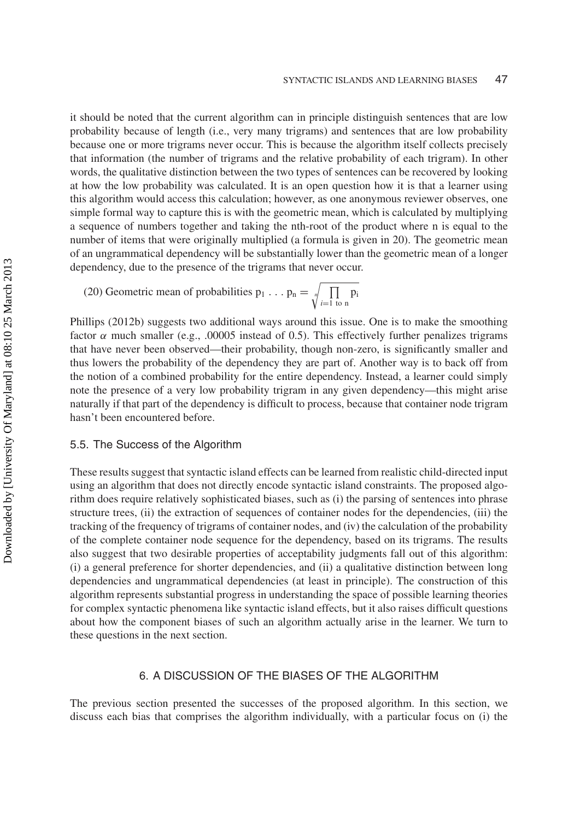it should be noted that the current algorithm can in principle distinguish sentences that are low probability because of length (i.e., very many trigrams) and sentences that are low probability because one or more trigrams never occur. This is because the algorithm itself collects precisely that information (the number of trigrams and the relative probability of each trigram). In other words, the qualitative distinction between the two types of sentences can be recovered by looking at how the low probability was calculated. It is an open question how it is that a learner using this algorithm would access this calculation; however, as one anonymous reviewer observes, one simple formal way to capture this is with the geometric mean, which is calculated by multiplying a sequence of numbers together and taking the nth-root of the product where n is equal to the number of items that were originally multiplied (a formula is given in 20). The geometric mean of an ungrammatical dependency will be substantially lower than the geometric mean of a longer dependency, due to the presence of the trigrams that never occur.

(20) Geometric mean of probabilities  $p_1 \dots p_n = \sqrt[n]{\prod_{i=1}^n p_i^2}$ *i*=1 to n pi

Phillips (2012b) suggests two additional ways around this issue. One is to make the smoothing factor  $\alpha$  much smaller (e.g., .00005 instead of 0.5). This effectively further penalizes trigrams that have never been observed—their probability, though non-zero, is significantly smaller and thus lowers the probability of the dependency they are part of. Another way is to back off from the notion of a combined probability for the entire dependency. Instead, a learner could simply note the presence of a very low probability trigram in any given dependency—this might arise naturally if that part of the dependency is difficult to process, because that container node trigram hasn't been encountered before.

### 5.5. The Success of the Algorithm

These results suggest that syntactic island effects can be learned from realistic child-directed input using an algorithm that does not directly encode syntactic island constraints. The proposed algorithm does require relatively sophisticated biases, such as (i) the parsing of sentences into phrase structure trees, (ii) the extraction of sequences of container nodes for the dependencies, (iii) the tracking of the frequency of trigrams of container nodes, and (iv) the calculation of the probability of the complete container node sequence for the dependency, based on its trigrams. The results also suggest that two desirable properties of acceptability judgments fall out of this algorithm: (i) a general preference for shorter dependencies, and (ii) a qualitative distinction between long dependencies and ungrammatical dependencies (at least in principle). The construction of this algorithm represents substantial progress in understanding the space of possible learning theories for complex syntactic phenomena like syntactic island effects, but it also raises difficult questions about how the component biases of such an algorithm actually arise in the learner. We turn to these questions in the next section.

# 6. A DISCUSSION OF THE BIASES OF THE ALGORITHM

The previous section presented the successes of the proposed algorithm. In this section, we discuss each bias that comprises the algorithm individually, with a particular focus on (i) the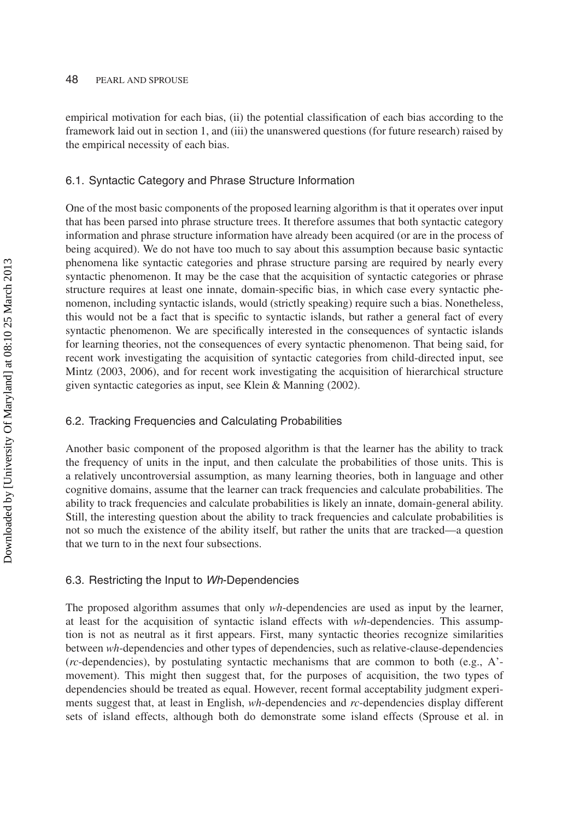empirical motivation for each bias, (ii) the potential classification of each bias according to the framework laid out in section 1, and (iii) the unanswered questions (for future research) raised by the empirical necessity of each bias.

#### 6.1. Syntactic Category and Phrase Structure Information

One of the most basic components of the proposed learning algorithm is that it operates over input that has been parsed into phrase structure trees. It therefore assumes that both syntactic category information and phrase structure information have already been acquired (or are in the process of being acquired). We do not have too much to say about this assumption because basic syntactic phenomena like syntactic categories and phrase structure parsing are required by nearly every syntactic phenomenon. It may be the case that the acquisition of syntactic categories or phrase structure requires at least one innate, domain-specific bias, in which case every syntactic phenomenon, including syntactic islands, would (strictly speaking) require such a bias. Nonetheless, this would not be a fact that is specific to syntactic islands, but rather a general fact of every syntactic phenomenon. We are specifically interested in the consequences of syntactic islands for learning theories, not the consequences of every syntactic phenomenon. That being said, for recent work investigating the acquisition of syntactic categories from child-directed input, see Mintz (2003, 2006), and for recent work investigating the acquisition of hierarchical structure given syntactic categories as input, see Klein & Manning (2002).

# 6.2. Tracking Frequencies and Calculating Probabilities

Another basic component of the proposed algorithm is that the learner has the ability to track the frequency of units in the input, and then calculate the probabilities of those units. This is a relatively uncontroversial assumption, as many learning theories, both in language and other cognitive domains, assume that the learner can track frequencies and calculate probabilities. The ability to track frequencies and calculate probabilities is likely an innate, domain-general ability. Still, the interesting question about the ability to track frequencies and calculate probabilities is not so much the existence of the ability itself, but rather the units that are tracked—a question that we turn to in the next four subsections.

#### 6.3. Restricting the Input to *Wh*-Dependencies

The proposed algorithm assumes that only *wh*-dependencies are used as input by the learner, at least for the acquisition of syntactic island effects with *wh*-dependencies. This assumption is not as neutral as it first appears. First, many syntactic theories recognize similarities between *wh*-dependencies and other types of dependencies, such as relative-clause-dependencies (*rc*-dependencies), by postulating syntactic mechanisms that are common to both (e.g., A' movement). This might then suggest that, for the purposes of acquisition, the two types of dependencies should be treated as equal. However, recent formal acceptability judgment experiments suggest that, at least in English, *wh*-dependencies and *rc*-dependencies display different sets of island effects, although both do demonstrate some island effects (Sprouse et al. in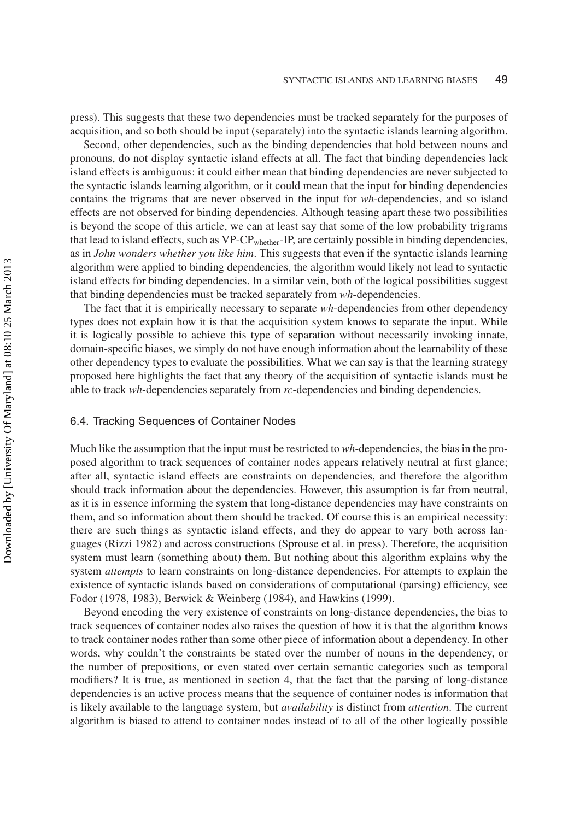press). This suggests that these two dependencies must be tracked separately for the purposes of acquisition, and so both should be input (separately) into the syntactic islands learning algorithm.

Second, other dependencies, such as the binding dependencies that hold between nouns and pronouns, do not display syntactic island effects at all. The fact that binding dependencies lack island effects is ambiguous: it could either mean that binding dependencies are never subjected to the syntactic islands learning algorithm, or it could mean that the input for binding dependencies contains the trigrams that are never observed in the input for *wh*-dependencies, and so island effects are not observed for binding dependencies. Although teasing apart these two possibilities is beyond the scope of this article, we can at least say that some of the low probability trigrams that lead to island effects, such as VP-CPwhether-IP, are certainly possible in binding dependencies, as in *John wonders whether you like him*. This suggests that even if the syntactic islands learning algorithm were applied to binding dependencies, the algorithm would likely not lead to syntactic island effects for binding dependencies. In a similar vein, both of the logical possibilities suggest that binding dependencies must be tracked separately from *wh*-dependencies.

The fact that it is empirically necessary to separate *wh*-dependencies from other dependency types does not explain how it is that the acquisition system knows to separate the input. While it is logically possible to achieve this type of separation without necessarily invoking innate, domain-specific biases, we simply do not have enough information about the learnability of these other dependency types to evaluate the possibilities. What we can say is that the learning strategy proposed here highlights the fact that any theory of the acquisition of syntactic islands must be able to track *wh*-dependencies separately from *rc*-dependencies and binding dependencies.

#### 6.4. Tracking Sequences of Container Nodes

Much like the assumption that the input must be restricted to *wh*-dependencies, the bias in the proposed algorithm to track sequences of container nodes appears relatively neutral at first glance; after all, syntactic island effects are constraints on dependencies, and therefore the algorithm should track information about the dependencies. However, this assumption is far from neutral, as it is in essence informing the system that long-distance dependencies may have constraints on them, and so information about them should be tracked. Of course this is an empirical necessity: there are such things as syntactic island effects, and they do appear to vary both across languages (Rizzi 1982) and across constructions (Sprouse et al. in press). Therefore, the acquisition system must learn (something about) them. But nothing about this algorithm explains why the system *attempts* to learn constraints on long-distance dependencies. For attempts to explain the existence of syntactic islands based on considerations of computational (parsing) efficiency, see Fodor (1978, 1983), Berwick & Weinberg (1984), and Hawkins (1999).

Beyond encoding the very existence of constraints on long-distance dependencies, the bias to track sequences of container nodes also raises the question of how it is that the algorithm knows to track container nodes rather than some other piece of information about a dependency. In other words, why couldn't the constraints be stated over the number of nouns in the dependency, or the number of prepositions, or even stated over certain semantic categories such as temporal modifiers? It is true, as mentioned in section 4, that the fact that the parsing of long-distance dependencies is an active process means that the sequence of container nodes is information that is likely available to the language system, but *availability* is distinct from *attention*. The current algorithm is biased to attend to container nodes instead of to all of the other logically possible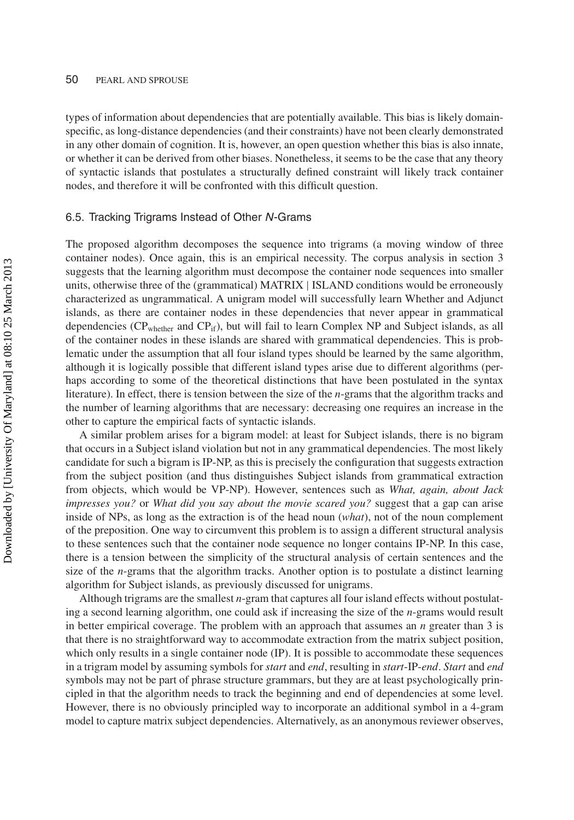types of information about dependencies that are potentially available. This bias is likely domainspecific, as long-distance dependencies (and their constraints) have not been clearly demonstrated in any other domain of cognition. It is, however, an open question whether this bias is also innate, or whether it can be derived from other biases. Nonetheless, it seems to be the case that any theory of syntactic islands that postulates a structurally defined constraint will likely track container nodes, and therefore it will be confronted with this difficult question.

#### 6.5. Tracking Trigrams Instead of Other *N*-Grams

The proposed algorithm decomposes the sequence into trigrams (a moving window of three container nodes). Once again, this is an empirical necessity. The corpus analysis in section 3 suggests that the learning algorithm must decompose the container node sequences into smaller units, otherwise three of the (grammatical) MATRIX | ISLAND conditions would be erroneously characterized as ungrammatical. A unigram model will successfully learn Whether and Adjunct islands, as there are container nodes in these dependencies that never appear in grammatical dependencies  $(CP_{whether}$  and  $CP_{if}$ ), but will fail to learn Complex NP and Subject islands, as all of the container nodes in these islands are shared with grammatical dependencies. This is problematic under the assumption that all four island types should be learned by the same algorithm, although it is logically possible that different island types arise due to different algorithms (perhaps according to some of the theoretical distinctions that have been postulated in the syntax literature). In effect, there is tension between the size of the *n*-grams that the algorithm tracks and the number of learning algorithms that are necessary: decreasing one requires an increase in the other to capture the empirical facts of syntactic islands.

A similar problem arises for a bigram model: at least for Subject islands, there is no bigram that occurs in a Subject island violation but not in any grammatical dependencies. The most likely candidate for such a bigram is IP-NP, as this is precisely the configuration that suggests extraction from the subject position (and thus distinguishes Subject islands from grammatical extraction from objects, which would be VP-NP). However, sentences such as *What, again, about Jack impresses you?* or *What did you say about the movie scared you?* suggest that a gap can arise inside of NPs, as long as the extraction is of the head noun (*what*), not of the noun complement of the preposition. One way to circumvent this problem is to assign a different structural analysis to these sentences such that the container node sequence no longer contains IP-NP. In this case, there is a tension between the simplicity of the structural analysis of certain sentences and the size of the *n*-grams that the algorithm tracks. Another option is to postulate a distinct learning algorithm for Subject islands, as previously discussed for unigrams.

Although trigrams are the smallest *n*-gram that captures all four island effects without postulating a second learning algorithm, one could ask if increasing the size of the *n*-grams would result in better empirical coverage. The problem with an approach that assumes an *n* greater than 3 is that there is no straightforward way to accommodate extraction from the matrix subject position, which only results in a single container node (IP). It is possible to accommodate these sequences in a trigram model by assuming symbols for *start* and *end*, resulting in *start*-IP-*end*. *Start* and *end* symbols may not be part of phrase structure grammars, but they are at least psychologically principled in that the algorithm needs to track the beginning and end of dependencies at some level. However, there is no obviously principled way to incorporate an additional symbol in a 4-gram model to capture matrix subject dependencies. Alternatively, as an anonymous reviewer observes,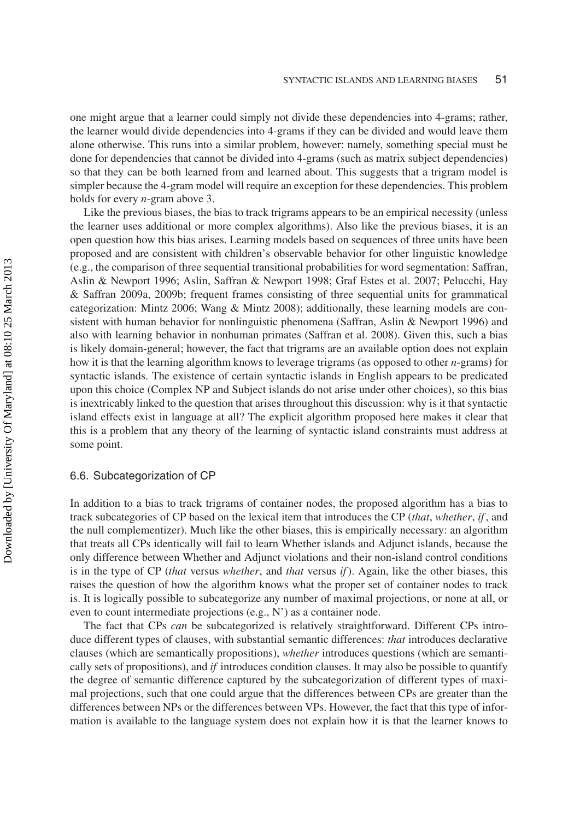one might argue that a learner could simply not divide these dependencies into 4-grams; rather, the learner would divide dependencies into 4-grams if they can be divided and would leave them alone otherwise. This runs into a similar problem, however: namely, something special must be done for dependencies that cannot be divided into 4-grams (such as matrix subject dependencies) so that they can be both learned from and learned about. This suggests that a trigram model is simpler because the 4-gram model will require an exception for these dependencies. This problem holds for every *n*-gram above 3.

Like the previous biases, the bias to track trigrams appears to be an empirical necessity (unless the learner uses additional or more complex algorithms). Also like the previous biases, it is an open question how this bias arises. Learning models based on sequences of three units have been proposed and are consistent with children's observable behavior for other linguistic knowledge (e.g., the comparison of three sequential transitional probabilities for word segmentation: Saffran, Aslin & Newport 1996; Aslin, Saffran & Newport 1998; Graf Estes et al. 2007; Pelucchi, Hay & Saffran 2009a, 2009b; frequent frames consisting of three sequential units for grammatical categorization: Mintz 2006; Wang & Mintz 2008); additionally, these learning models are consistent with human behavior for nonlinguistic phenomena (Saffran, Aslin & Newport 1996) and also with learning behavior in nonhuman primates (Saffran et al. 2008). Given this, such a bias is likely domain-general; however, the fact that trigrams are an available option does not explain how it is that the learning algorithm knows to leverage trigrams (as opposed to other *n*-grams) for syntactic islands. The existence of certain syntactic islands in English appears to be predicated upon this choice (Complex NP and Subject islands do not arise under other choices), so this bias is inextricably linked to the question that arises throughout this discussion: why is it that syntactic island effects exist in language at all? The explicit algorithm proposed here makes it clear that this is a problem that any theory of the learning of syntactic island constraints must address at some point.

#### 6.6. Subcategorization of CP

In addition to a bias to track trigrams of container nodes, the proposed algorithm has a bias to track subcategories of CP based on the lexical item that introduces the CP (*that*, *whether*, *if* , and the null complementizer). Much like the other biases, this is empirically necessary: an algorithm that treats all CPs identically will fail to learn Whether islands and Adjunct islands, because the only difference between Whether and Adjunct violations and their non-island control conditions is in the type of CP (*that* versus *whether*, and *that* versus *if*). Again, like the other biases, this raises the question of how the algorithm knows what the proper set of container nodes to track is. It is logically possible to subcategorize any number of maximal projections, or none at all, or even to count intermediate projections (e.g., N') as a container node.

The fact that CPs *can* be subcategorized is relatively straightforward. Different CPs introduce different types of clauses, with substantial semantic differences: *that* introduces declarative clauses (which are semantically propositions), *whether* introduces questions (which are semantically sets of propositions), and *if* introduces condition clauses. It may also be possible to quantify the degree of semantic difference captured by the subcategorization of different types of maximal projections, such that one could argue that the differences between CPs are greater than the differences between NPs or the differences between VPs. However, the fact that this type of information is available to the language system does not explain how it is that the learner knows to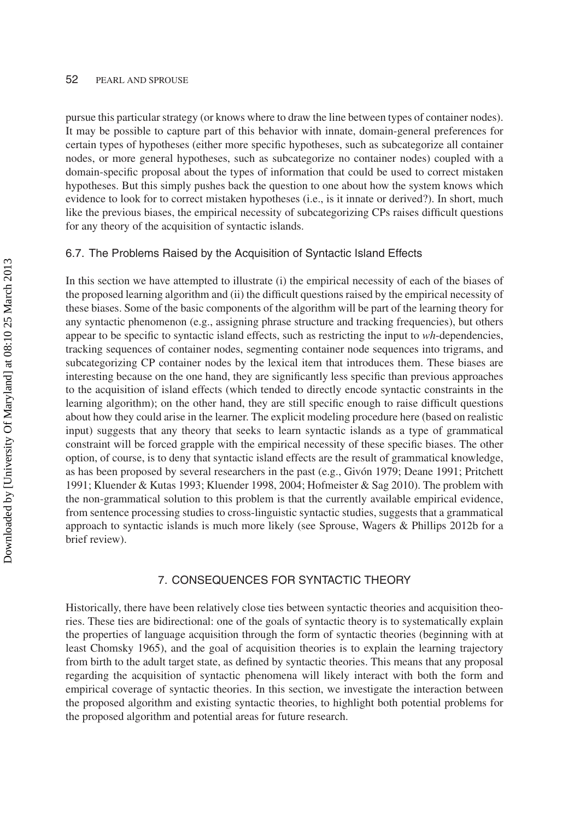pursue this particular strategy (or knows where to draw the line between types of container nodes). It may be possible to capture part of this behavior with innate, domain-general preferences for certain types of hypotheses (either more specific hypotheses, such as subcategorize all container nodes, or more general hypotheses, such as subcategorize no container nodes) coupled with a domain-specific proposal about the types of information that could be used to correct mistaken hypotheses. But this simply pushes back the question to one about how the system knows which evidence to look for to correct mistaken hypotheses (i.e., is it innate or derived?). In short, much like the previous biases, the empirical necessity of subcategorizing CPs raises difficult questions for any theory of the acquisition of syntactic islands.

# 6.7. The Problems Raised by the Acquisition of Syntactic Island Effects

In this section we have attempted to illustrate (i) the empirical necessity of each of the biases of the proposed learning algorithm and (ii) the difficult questions raised by the empirical necessity of these biases. Some of the basic components of the algorithm will be part of the learning theory for any syntactic phenomenon (e.g., assigning phrase structure and tracking frequencies), but others appear to be specific to syntactic island effects, such as restricting the input to *wh*-dependencies, tracking sequences of container nodes, segmenting container node sequences into trigrams, and subcategorizing CP container nodes by the lexical item that introduces them. These biases are interesting because on the one hand, they are significantly less specific than previous approaches to the acquisition of island effects (which tended to directly encode syntactic constraints in the learning algorithm); on the other hand, they are still specific enough to raise difficult questions about how they could arise in the learner. The explicit modeling procedure here (based on realistic input) suggests that any theory that seeks to learn syntactic islands as a type of grammatical constraint will be forced grapple with the empirical necessity of these specific biases. The other option, of course, is to deny that syntactic island effects are the result of grammatical knowledge, as has been proposed by several researchers in the past (e.g., Givón 1979; Deane 1991; Pritchett 1991; Kluender & Kutas 1993; Kluender 1998, 2004; Hofmeister & Sag 2010). The problem with the non-grammatical solution to this problem is that the currently available empirical evidence, from sentence processing studies to cross-linguistic syntactic studies, suggests that a grammatical approach to syntactic islands is much more likely (see Sprouse, Wagers & Phillips 2012b for a brief review).

# 7. CONSEQUENCES FOR SYNTACTIC THEORY

Historically, there have been relatively close ties between syntactic theories and acquisition theories. These ties are bidirectional: one of the goals of syntactic theory is to systematically explain the properties of language acquisition through the form of syntactic theories (beginning with at least Chomsky 1965), and the goal of acquisition theories is to explain the learning trajectory from birth to the adult target state, as defined by syntactic theories. This means that any proposal regarding the acquisition of syntactic phenomena will likely interact with both the form and empirical coverage of syntactic theories. In this section, we investigate the interaction between the proposed algorithm and existing syntactic theories, to highlight both potential problems for the proposed algorithm and potential areas for future research.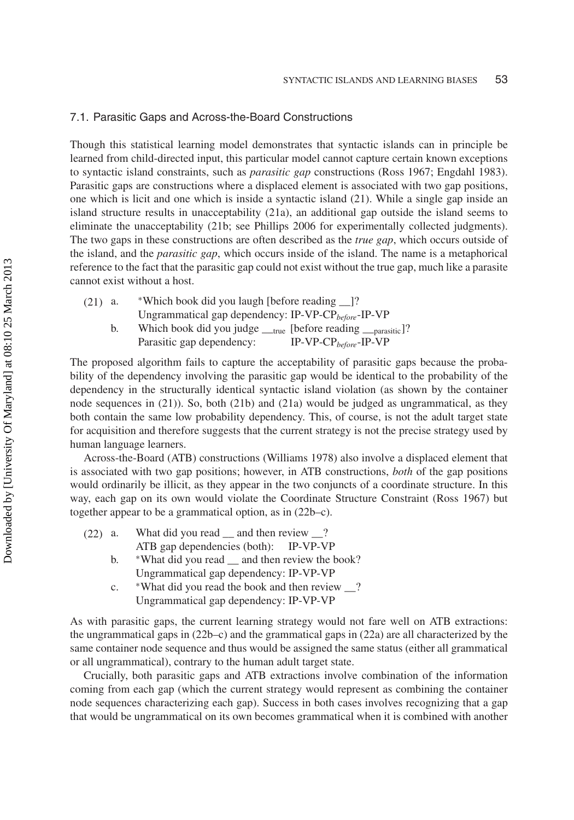#### 7.1. Parasitic Gaps and Across-the-Board Constructions

Though this statistical learning model demonstrates that syntactic islands can in principle be learned from child-directed input, this particular model cannot capture certain known exceptions to syntactic island constraints, such as *parasitic gap* constructions (Ross 1967; Engdahl 1983). Parasitic gaps are constructions where a displaced element is associated with two gap positions, one which is licit and one which is inside a syntactic island (21). While a single gap inside an island structure results in unacceptability (21a), an additional gap outside the island seems to eliminate the unacceptability (21b; see Phillips 2006 for experimentally collected judgments). The two gaps in these constructions are often described as the *true gap*, which occurs outside of the island, and the *parasitic gap*, which occurs inside of the island. The name is a metaphorical reference to the fact that the parasitic gap could not exist without the true gap, much like a parasite cannot exist without a host.

(21) a. <sup>∗</sup>Which book did you laugh [before reading \_\_]? Ungrammatical gap dependency: IP-VP-CP*before*-IP-VP b. Which book did you judge  $_{true}$  [before reading  $_{\text{maxistic}}$ ]? Parasitic gap dependency: IP-VP-CP*before*-IP-VP

The proposed algorithm fails to capture the acceptability of parasitic gaps because the probability of the dependency involving the parasitic gap would be identical to the probability of the dependency in the structurally identical syntactic island violation (as shown by the container node sequences in  $(21)$ ). So, both  $(21b)$  and  $(21a)$  would be judged as ungrammatical, as they both contain the same low probability dependency. This, of course, is not the adult target state for acquisition and therefore suggests that the current strategy is not the precise strategy used by human language learners.

Across-the-Board (ATB) constructions (Williams 1978) also involve a displaced element that is associated with two gap positions; however, in ATB constructions, *both* of the gap positions would ordinarily be illicit, as they appear in the two conjuncts of a coordinate structure. In this way, each gap on its own would violate the Coordinate Structure Constraint (Ross 1967) but together appear to be a grammatical option, as in (22b–c).

- $(22)$  a. What did you read  $\equiv$  and then review  $\equiv$ ? ATB gap dependencies (both): IP-VP-VP
	- b. \*What did you read \_\_ and then review the book? Ungrammatical gap dependency: IP-VP-VP
	- c. <sup>∗</sup>What did you read the book and then review \_\_? Ungrammatical gap dependency: IP-VP-VP

As with parasitic gaps, the current learning strategy would not fare well on ATB extractions: the ungrammatical gaps in (22b–c) and the grammatical gaps in (22a) are all characterized by the same container node sequence and thus would be assigned the same status (either all grammatical or all ungrammatical), contrary to the human adult target state.

Crucially, both parasitic gaps and ATB extractions involve combination of the information coming from each gap (which the current strategy would represent as combining the container node sequences characterizing each gap). Success in both cases involves recognizing that a gap that would be ungrammatical on its own becomes grammatical when it is combined with another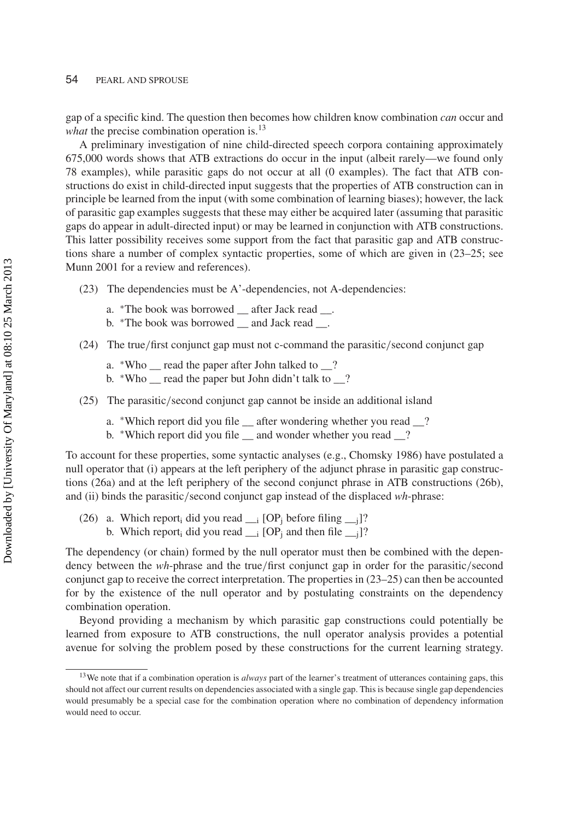gap of a specific kind. The question then becomes how children know combination *can* occur and *what* the precise combination operation is.13

A preliminary investigation of nine child-directed speech corpora containing approximately 675,000 words shows that ATB extractions do occur in the input (albeit rarely—we found only 78 examples), while parasitic gaps do not occur at all (0 examples). The fact that ATB constructions do exist in child-directed input suggests that the properties of ATB construction can in principle be learned from the input (with some combination of learning biases); however, the lack of parasitic gap examples suggests that these may either be acquired later (assuming that parasitic gaps do appear in adult-directed input) or may be learned in conjunction with ATB constructions. This latter possibility receives some support from the fact that parasitic gap and ATB constructions share a number of complex syntactic properties, some of which are given in (23–25; see Munn 2001 for a review and references).

- (23) The dependencies must be A'-dependencies, not A-dependencies:
	- a. \*The book was borrowed \_\_ after Jack read \_\_.
	- b. \*The book was borrowed \_ and Jack read \_\_.
- (24) The true/first conjunct gap must not c-command the parasitic/second conjunct gap
	- a. \*Who  $\equiv$  read the paper after John talked to  $\equiv$ ?
	- b. \*Who \_\_ read the paper but John didn't talk to \_\_?
- (25) The parasitic/second conjunct gap cannot be inside an additional island
	- a. \*Which report did you file \_\_ after wondering whether you read \_\_?
	- b. \*Which report did you file \_\_ and wonder whether you read \_\_?

To account for these properties, some syntactic analyses (e.g., Chomsky 1986) have postulated a null operator that (i) appears at the left periphery of the adjunct phrase in parasitic gap constructions (26a) and at the left periphery of the second conjunct phrase in ATB constructions (26b), and (ii) binds the parasitic/second conjunct gap instead of the displaced *wh*-phrase:

- (26) a. Which report<sub>i</sub> did you read  $_{\text{di}}$  [OP<sub>j</sub> before filing  $_{\text{di}}$ ]?
	- b. Which report<sub>i</sub> did you read  $_{i}$  [OP<sub>i</sub> and then file  $_{i}$ ]?

The dependency (or chain) formed by the null operator must then be combined with the dependency between the *wh*-phrase and the true/first conjunct gap in order for the parasitic/second conjunct gap to receive the correct interpretation. The properties in (23–25) can then be accounted for by the existence of the null operator and by postulating constraints on the dependency combination operation.

Beyond providing a mechanism by which parasitic gap constructions could potentially be learned from exposure to ATB constructions, the null operator analysis provides a potential avenue for solving the problem posed by these constructions for the current learning strategy.

<sup>&</sup>lt;sup>13</sup>We note that if a combination operation is *always* part of the learner's treatment of utterances containing gaps, this should not affect our current results on dependencies associated with a single gap. This is because single gap dependencies would presumably be a special case for the combination operation where no combination of dependency information would need to occur.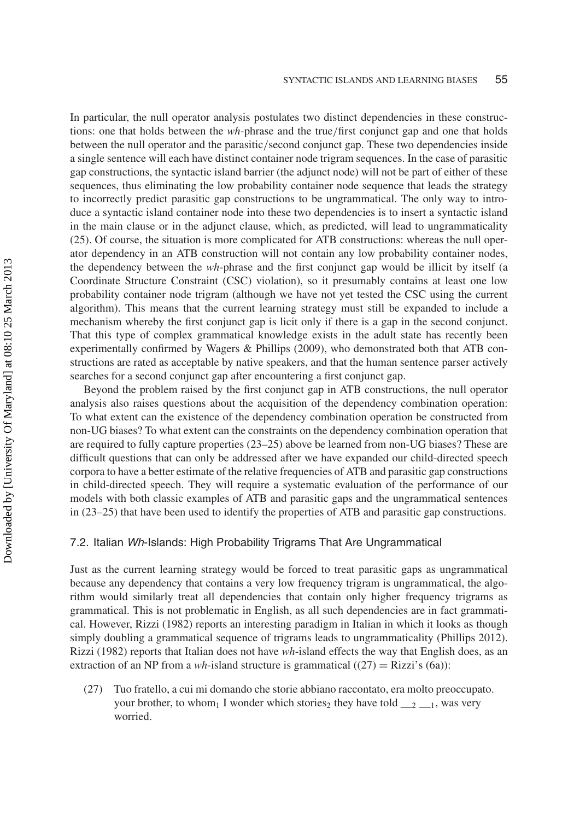In particular, the null operator analysis postulates two distinct dependencies in these constructions: one that holds between the *wh*-phrase and the true/first conjunct gap and one that holds between the null operator and the parasitic/second conjunct gap. These two dependencies inside a single sentence will each have distinct container node trigram sequences. In the case of parasitic gap constructions, the syntactic island barrier (the adjunct node) will not be part of either of these sequences, thus eliminating the low probability container node sequence that leads the strategy to incorrectly predict parasitic gap constructions to be ungrammatical. The only way to introduce a syntactic island container node into these two dependencies is to insert a syntactic island in the main clause or in the adjunct clause, which, as predicted, will lead to ungrammaticality (25). Of course, the situation is more complicated for ATB constructions: whereas the null operator dependency in an ATB construction will not contain any low probability container nodes, the dependency between the *wh*-phrase and the first conjunct gap would be illicit by itself (a Coordinate Structure Constraint (CSC) violation), so it presumably contains at least one low probability container node trigram (although we have not yet tested the CSC using the current algorithm). This means that the current learning strategy must still be expanded to include a mechanism whereby the first conjunct gap is licit only if there is a gap in the second conjunct. That this type of complex grammatical knowledge exists in the adult state has recently been experimentally confirmed by Wagers & Phillips (2009), who demonstrated both that ATB constructions are rated as acceptable by native speakers, and that the human sentence parser actively searches for a second conjunct gap after encountering a first conjunct gap.

Beyond the problem raised by the first conjunct gap in ATB constructions, the null operator analysis also raises questions about the acquisition of the dependency combination operation: To what extent can the existence of the dependency combination operation be constructed from non-UG biases? To what extent can the constraints on the dependency combination operation that are required to fully capture properties (23–25) above be learned from non-UG biases? These are difficult questions that can only be addressed after we have expanded our child-directed speech corpora to have a better estimate of the relative frequencies of ATB and parasitic gap constructions in child-directed speech. They will require a systematic evaluation of the performance of our models with both classic examples of ATB and parasitic gaps and the ungrammatical sentences in (23–25) that have been used to identify the properties of ATB and parasitic gap constructions.

# 7.2. Italian *Wh*-Islands: High Probability Trigrams That Are Ungrammatical

Just as the current learning strategy would be forced to treat parasitic gaps as ungrammatical because any dependency that contains a very low frequency trigram is ungrammatical, the algorithm would similarly treat all dependencies that contain only higher frequency trigrams as grammatical. This is not problematic in English, as all such dependencies are in fact grammatical. However, Rizzi (1982) reports an interesting paradigm in Italian in which it looks as though simply doubling a grammatical sequence of trigrams leads to ungrammaticality (Phillips 2012). Rizzi (1982) reports that Italian does not have *wh*-island effects the way that English does, as an extraction of an NP from a *wh*-island structure is grammatical  $((27) = Rizzi's (6a))$ :

(27) Tuo fratello, a cui mi domando che storie abbiano raccontato, era molto preoccupato. your brother, to whom<sub>1</sub> I wonder which stories<sub>2</sub> they have told  $\_\_2 \_\_1$ , was very worried.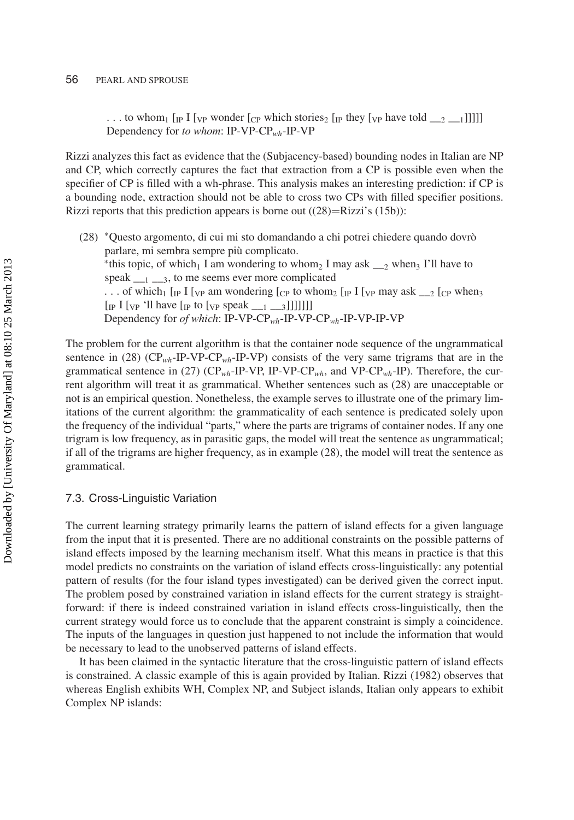... to whom<sub>1</sub> [<sub>IP</sub> I [<sub>VP</sub> wonder [<sub>CP</sub> which stories<sub>2</sub> [<sub>IP</sub> they [<sub>VP</sub> have told  $\_\_2 \_\_1$ ]]]]] Dependency for *to whom*: IP-VP-CP*wh*-IP-VP

Rizzi analyzes this fact as evidence that the (Subjacency-based) bounding nodes in Italian are NP and CP, which correctly captures the fact that extraction from a CP is possible even when the specifier of CP is filled with a wh-phrase. This analysis makes an interesting prediction: if CP is a bounding node, extraction should not be able to cross two CPs with filled specifier positions. Rizzi reports that this prediction appears is borne out  $((28)=Rizzi's (15b))$ :

(28) <sup>∗</sup>Questo argomento, di cui mi sto domandando a chi potrei chiedere quando dovrò parlare, mi sembra sempre più complicato. \*this topic, of which<sub>1</sub> I am wondering to whom<sub>2</sub> I may ask  $\_\_2$  when<sub>3</sub> I'll have to speak  $\_\_1 \_\_3$ , to me seems ever more complicated ... of which<sub>1</sub> [IP I [vp am wondering [cp to whom<sub>2</sub> [IP I [vp may ask  $\_\_2$  [cp when<sub>3</sub>  $\left[\begin{array}{cc} \text{IP I [VP} \end{array} \right]$  lines  $\left[\begin{array}{cc} \text{IP IO [VP} \end{array} \right]$  speak \_\_1 \_\_3]]]]]]] Dependency for *of which*: IP-VP-CP*wh*-IP-VP-CP*wh*-IP-VP-IP-VP

The problem for the current algorithm is that the container node sequence of the ungrammatical sentence in (28)  $(CP_{wh}$ -IP-VP-CP<sub>*wh*</sub>-IP-VP) consists of the very same trigrams that are in the grammatical sentence in (27) (CP*wh*-IP-VP, IP-VP-CP*wh*, and VP-CP*wh*-IP). Therefore, the current algorithm will treat it as grammatical. Whether sentences such as (28) are unacceptable or not is an empirical question. Nonetheless, the example serves to illustrate one of the primary limitations of the current algorithm: the grammaticality of each sentence is predicated solely upon the frequency of the individual "parts," where the parts are trigrams of container nodes. If any one trigram is low frequency, as in parasitic gaps, the model will treat the sentence as ungrammatical; if all of the trigrams are higher frequency, as in example (28), the model will treat the sentence as grammatical.

# 7.3. Cross-Linguistic Variation

The current learning strategy primarily learns the pattern of island effects for a given language from the input that it is presented. There are no additional constraints on the possible patterns of island effects imposed by the learning mechanism itself. What this means in practice is that this model predicts no constraints on the variation of island effects cross-linguistically: any potential pattern of results (for the four island types investigated) can be derived given the correct input. The problem posed by constrained variation in island effects for the current strategy is straightforward: if there is indeed constrained variation in island effects cross-linguistically, then the current strategy would force us to conclude that the apparent constraint is simply a coincidence. The inputs of the languages in question just happened to not include the information that would be necessary to lead to the unobserved patterns of island effects.

It has been claimed in the syntactic literature that the cross-linguistic pattern of island effects is constrained. A classic example of this is again provided by Italian. Rizzi (1982) observes that whereas English exhibits WH, Complex NP, and Subject islands, Italian only appears to exhibit Complex NP islands: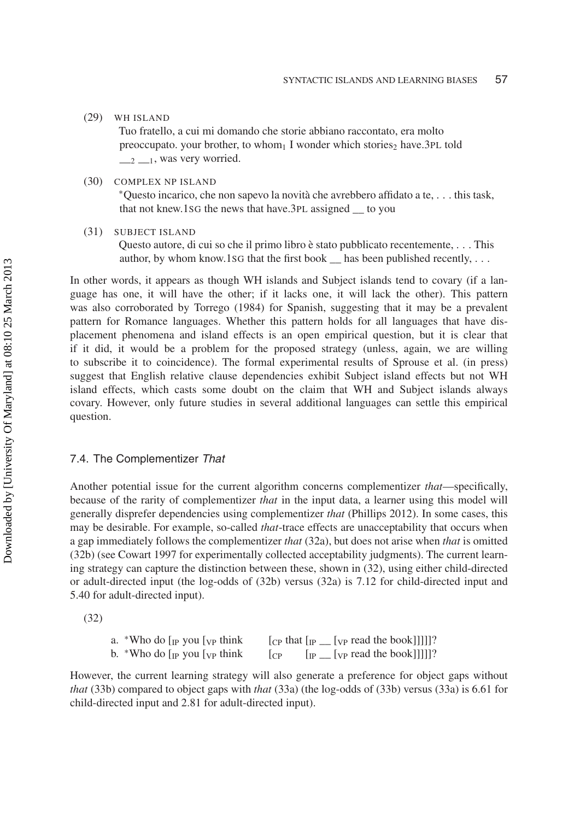#### (29) WH ISLAND

Tuo fratello, a cui mi domando che storie abbiano raccontato, era molto preoccupato. your brother, to whom<sub>1</sub> I wonder which stories<sub>2</sub> have.3PL told  $\_\_2 \_\_1$ , was very worried.

#### (30) COMPLEX NP ISLAND

<sup>∗</sup>Questo incarico, che non sapevo la novità che avrebbero affidato a te, ... this task, that not knew.1SG the news that have.3PL assigned \_\_ to you

(31) SUBJECT ISLAND

Questo autore, di cui so che il primo libro è stato pubblicato recentemente, ... This author, by whom know.1sG that the first book \_\_ has been published recently,  $\dots$ 

In other words, it appears as though WH islands and Subject islands tend to covary (if a language has one, it will have the other; if it lacks one, it will lack the other). This pattern was also corroborated by Torrego (1984) for Spanish, suggesting that it may be a prevalent pattern for Romance languages. Whether this pattern holds for all languages that have displacement phenomena and island effects is an open empirical question, but it is clear that if it did, it would be a problem for the proposed strategy (unless, again, we are willing to subscribe it to coincidence). The formal experimental results of Sprouse et al. (in press) suggest that English relative clause dependencies exhibit Subject island effects but not WH island effects, which casts some doubt on the claim that WH and Subject islands always covary. However, only future studies in several additional languages can settle this empirical question.

#### 7.4. The Complementizer *That*

Another potential issue for the current algorithm concerns complementizer *that*—specifically, because of the rarity of complementizer *that* in the input data, a learner using this model will generally disprefer dependencies using complementizer *that* (Phillips 2012). In some cases, this may be desirable. For example, so-called *that*-trace effects are unacceptability that occurs when a gap immediately follows the complementizer *that* (32a), but does not arise when *that* is omitted (32b) (see Cowart 1997 for experimentally collected acceptability judgments). The current learning strategy can capture the distinction between these, shown in (32), using either child-directed or adult-directed input (the log-odds of (32b) versus (32a) is 7.12 for child-directed input and 5.40 for adult-directed input).

(32)

| a. *Who do $[$ <sub>IP</sub> you $[$ <sub>VP</sub> think |    | $[CP$ that $[IP]$ [ <sub>VP</sub> read the book]]]]]?   |
|----------------------------------------------------------|----|---------------------------------------------------------|
| b. *Who do $[$ <sub>IP</sub> you $[$ <sub>VP</sub> think | CP | $\left[\text{IP} \_\text{VP}\right]$ read the book]]]]? |

However, the current learning strategy will also generate a preference for object gaps without *that* (33b) compared to object gaps with *that* (33a) (the log-odds of (33b) versus (33a) is 6.61 for child-directed input and 2.81 for adult-directed input).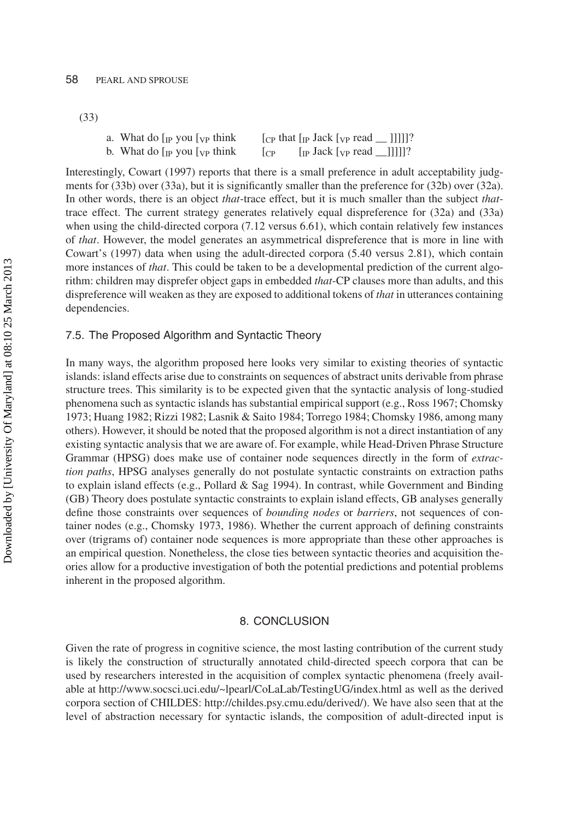(33)

| a. What do $\left[\right]$ you $\left[\right]$ think     |    | $\int_{CP}$ that $\int_{IP}$ Jack $\int_{VP}$ read                                                                                                                                    | $\_$ [[[[[]]]? |
|----------------------------------------------------------|----|---------------------------------------------------------------------------------------------------------------------------------------------------------------------------------------|----------------|
| b. What do $[$ <sub>IP</sub> you $[$ <sub>VP</sub> think | CP | $\left[\begin{smallmatrix} \text{IP} \end{smallmatrix} \text{Jack} \begin{smallmatrix} \text{VP} \end{smallmatrix} \text{read } \underline{\hspace{0.5cm}} \end{smallmatrix} \right]$ |                |

Interestingly, Cowart (1997) reports that there is a small preference in adult acceptability judgments for (33b) over (33a), but it is significantly smaller than the preference for (32b) over (32a). In other words, there is an object *that*-trace effect, but it is much smaller than the subject *that*trace effect. The current strategy generates relatively equal dispreference for (32a) and (33a) when using the child-directed corpora (7.12 versus 6.61), which contain relatively few instances of *that*. However, the model generates an asymmetrical dispreference that is more in line with Cowart's (1997) data when using the adult-directed corpora (5.40 versus 2.81), which contain more instances of *that*. This could be taken to be a developmental prediction of the current algorithm: children may disprefer object gaps in embedded *that*-CP clauses more than adults, and this dispreference will weaken as they are exposed to additional tokens of *that* in utterances containing dependencies.

### 7.5. The Proposed Algorithm and Syntactic Theory

In many ways, the algorithm proposed here looks very similar to existing theories of syntactic islands: island effects arise due to constraints on sequences of abstract units derivable from phrase structure trees. This similarity is to be expected given that the syntactic analysis of long-studied phenomena such as syntactic islands has substantial empirical support (e.g., Ross 1967; Chomsky 1973; Huang 1982; Rizzi 1982; Lasnik & Saito 1984; Torrego 1984; Chomsky 1986, among many others). However, it should be noted that the proposed algorithm is not a direct instantiation of any existing syntactic analysis that we are aware of. For example, while Head-Driven Phrase Structure Grammar (HPSG) does make use of container node sequences directly in the form of *extraction paths*, HPSG analyses generally do not postulate syntactic constraints on extraction paths to explain island effects (e.g., Pollard & Sag 1994). In contrast, while Government and Binding (GB) Theory does postulate syntactic constraints to explain island effects, GB analyses generally define those constraints over sequences of *bounding nodes* or *barriers*, not sequences of container nodes (e.g., Chomsky 1973, 1986). Whether the current approach of defining constraints over (trigrams of) container node sequences is more appropriate than these other approaches is an empirical question. Nonetheless, the close ties between syntactic theories and acquisition theories allow for a productive investigation of both the potential predictions and potential problems inherent in the proposed algorithm.

# 8. CONCLUSION

Given the rate of progress in cognitive science, the most lasting contribution of the current study is likely the construction of structurally annotated child-directed speech corpora that can be used by researchers interested in the acquisition of complex syntactic phenomena (freely available at http://www.socsci.uci.edu/~lpearl/CoLaLab/TestingUG/index.html as well as the derived corpora section of CHILDES: http://childes.psy.cmu.edu/derived/). We have also seen that at the level of abstraction necessary for syntactic islands, the composition of adult-directed input is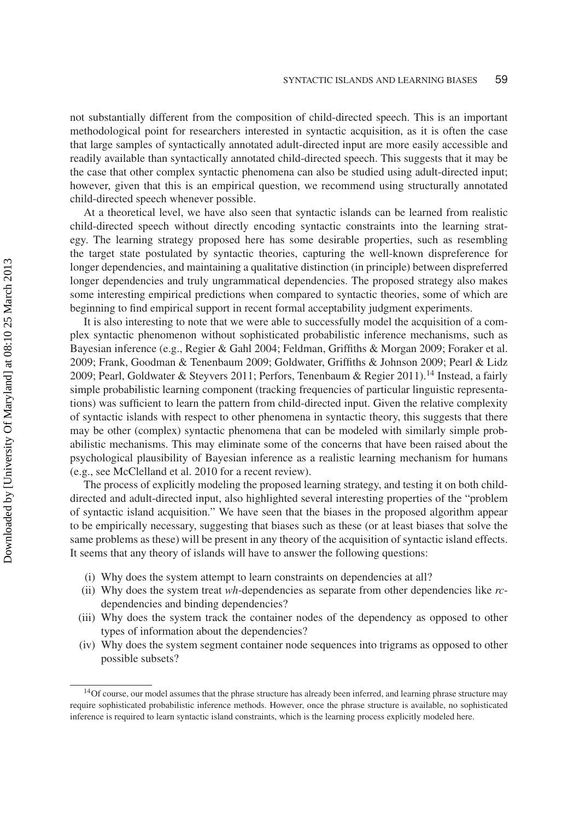not substantially different from the composition of child-directed speech. This is an important methodological point for researchers interested in syntactic acquisition, as it is often the case that large samples of syntactically annotated adult-directed input are more easily accessible and readily available than syntactically annotated child-directed speech. This suggests that it may be the case that other complex syntactic phenomena can also be studied using adult-directed input; however, given that this is an empirical question, we recommend using structurally annotated child-directed speech whenever possible.

At a theoretical level, we have also seen that syntactic islands can be learned from realistic child-directed speech without directly encoding syntactic constraints into the learning strategy. The learning strategy proposed here has some desirable properties, such as resembling the target state postulated by syntactic theories, capturing the well-known dispreference for longer dependencies, and maintaining a qualitative distinction (in principle) between dispreferred longer dependencies and truly ungrammatical dependencies. The proposed strategy also makes some interesting empirical predictions when compared to syntactic theories, some of which are beginning to find empirical support in recent formal acceptability judgment experiments.

It is also interesting to note that we were able to successfully model the acquisition of a complex syntactic phenomenon without sophisticated probabilistic inference mechanisms, such as Bayesian inference (e.g., Regier & Gahl 2004; Feldman, Griffiths & Morgan 2009; Foraker et al. 2009; Frank, Goodman & Tenenbaum 2009; Goldwater, Griffiths & Johnson 2009; Pearl & Lidz 2009; Pearl, Goldwater & Steyvers 2011; Perfors, Tenenbaum & Regier 2011).<sup>14</sup> Instead, a fairly simple probabilistic learning component (tracking frequencies of particular linguistic representations) was sufficient to learn the pattern from child-directed input. Given the relative complexity of syntactic islands with respect to other phenomena in syntactic theory, this suggests that there may be other (complex) syntactic phenomena that can be modeled with similarly simple probabilistic mechanisms. This may eliminate some of the concerns that have been raised about the psychological plausibility of Bayesian inference as a realistic learning mechanism for humans (e.g., see McClelland et al. 2010 for a recent review).

The process of explicitly modeling the proposed learning strategy, and testing it on both childdirected and adult-directed input, also highlighted several interesting properties of the "problem of syntactic island acquisition." We have seen that the biases in the proposed algorithm appear to be empirically necessary, suggesting that biases such as these (or at least biases that solve the same problems as these) will be present in any theory of the acquisition of syntactic island effects. It seems that any theory of islands will have to answer the following questions:

- (i) Why does the system attempt to learn constraints on dependencies at all?
- (ii) Why does the system treat *wh*-dependencies as separate from other dependencies like *rc*dependencies and binding dependencies?
- (iii) Why does the system track the container nodes of the dependency as opposed to other types of information about the dependencies?
- (iv) Why does the system segment container node sequences into trigrams as opposed to other possible subsets?

<sup>&</sup>lt;sup>14</sup>Of course, our model assumes that the phrase structure has already been inferred, and learning phrase structure may require sophisticated probabilistic inference methods. However, once the phrase structure is available, no sophisticated inference is required to learn syntactic island constraints, which is the learning process explicitly modeled here.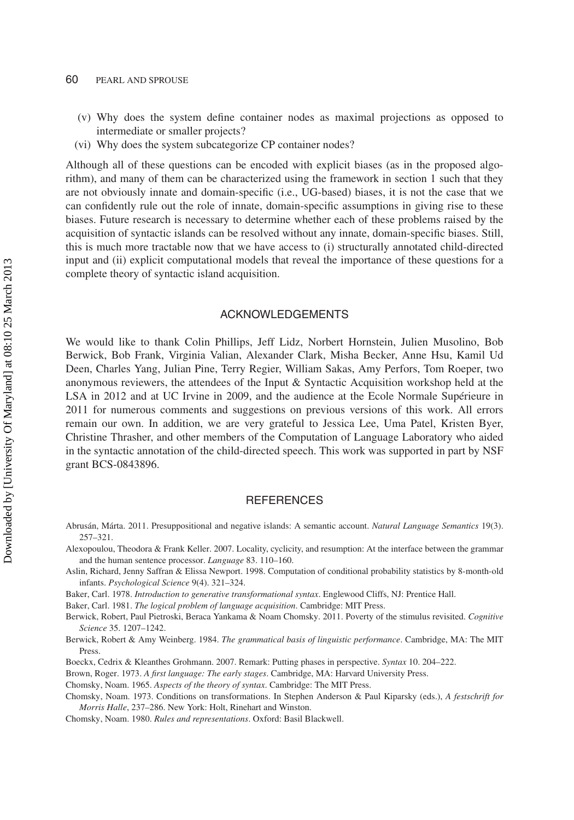- (v) Why does the system define container nodes as maximal projections as opposed to intermediate or smaller projects?
- (vi) Why does the system subcategorize CP container nodes?

Although all of these questions can be encoded with explicit biases (as in the proposed algorithm), and many of them can be characterized using the framework in section 1 such that they are not obviously innate and domain-specific (i.e., UG-based) biases, it is not the case that we can confidently rule out the role of innate, domain-specific assumptions in giving rise to these biases. Future research is necessary to determine whether each of these problems raised by the acquisition of syntactic islands can be resolved without any innate, domain-specific biases. Still, this is much more tractable now that we have access to (i) structurally annotated child-directed input and (ii) explicit computational models that reveal the importance of these questions for a complete theory of syntactic island acquisition.

## ACKNOWLEDGEMENTS

We would like to thank Colin Phillips, Jeff Lidz, Norbert Hornstein, Julien Musolino, Bob Berwick, Bob Frank, Virginia Valian, Alexander Clark, Misha Becker, Anne Hsu, Kamil Ud Deen, Charles Yang, Julian Pine, Terry Regier, William Sakas, Amy Perfors, Tom Roeper, two anonymous reviewers, the attendees of the Input & Syntactic Acquisition workshop held at the LSA in 2012 and at UC Irvine in 2009, and the audience at the Ecole Normale Supérieure in 2011 for numerous comments and suggestions on previous versions of this work. All errors remain our own. In addition, we are very grateful to Jessica Lee, Uma Patel, Kristen Byer, Christine Thrasher, and other members of the Computation of Language Laboratory who aided in the syntactic annotation of the child-directed speech. This work was supported in part by NSF grant BCS-0843896.

#### **REFERENCES**

Abrusán, Márta. 2011. Presuppositional and negative islands: A semantic account. *Natural Language Semantics* 19(3). 257–321.

Alexopoulou, Theodora & Frank Keller. 2007. Locality, cyclicity, and resumption: At the interface between the grammar and the human sentence processor. *Language* 83. 110–160.

- Aslin, Richard, Jenny Saffran & Elissa Newport. 1998. Computation of conditional probability statistics by 8-month-old infants. *Psychological Science* 9(4). 321–324.
- Baker, Carl. 1978. *Introduction to generative transformational syntax*. Englewood Cliffs, NJ: Prentice Hall.

Baker, Carl. 1981. *The logical problem of language acquisition*. Cambridge: MIT Press.

Berwick, Robert, Paul Pietroski, Beraca Yankama & Noam Chomsky. 2011. Poverty of the stimulus revisited. *Cognitive Science* 35. 1207–1242.

Berwick, Robert & Amy Weinberg. 1984. *The grammatical basis of linguistic performance*. Cambridge, MA: The MIT Press.

Boeckx, Cedrix & Kleanthes Grohmann. 2007. Remark: Putting phases in perspective. *Syntax* 10. 204–222.

Brown, Roger. 1973. *A first language: The early stages*. Cambridge, MA: Harvard University Press.

Chomsky, Noam. 1965. *Aspects of the theory of syntax*. Cambridge: The MIT Press.

Chomsky, Noam. 1973. Conditions on transformations. In Stephen Anderson & Paul Kiparsky (eds.), *A festschrift for Morris Halle*, 237–286. New York: Holt, Rinehart and Winston.

Chomsky, Noam. 1980. *Rules and representations*. Oxford: Basil Blackwell.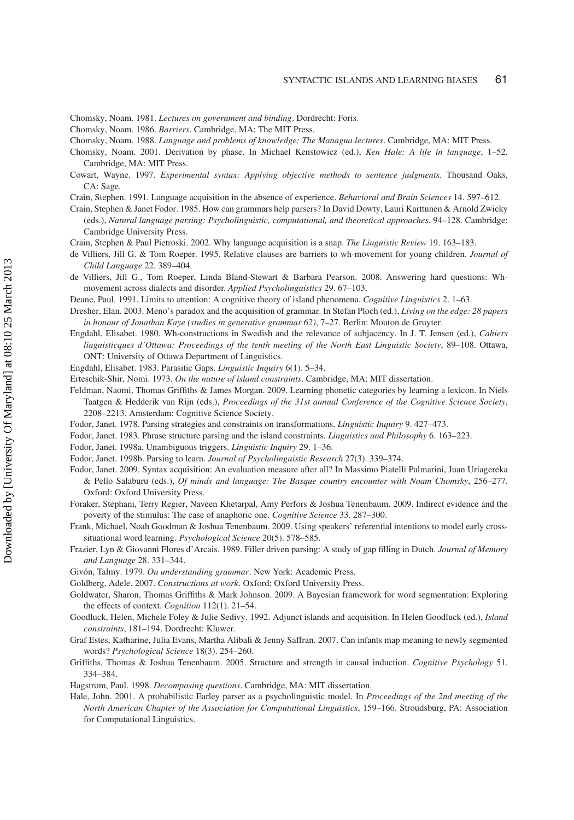Chomsky, Noam. 1981. *Lectures on government and binding*. Dordrecht: Foris.

- Chomsky, Noam. 1986. *Barriers*. Cambridge, MA: The MIT Press.
- Chomsky, Noam. 1988. *Language and problems of knowledge: The Managua lectures*. Cambridge, MA: MIT Press.
- Chomsky, Noam. 2001. Derivation by phase. In Michael Kenstowicz (ed.), *Ken Hale: A life in language*, 1–52. Cambridge, MA: MIT Press.
- Cowart, Wayne. 1997. *Experimental syntax: Applying objective methods to sentence judgments*. Thousand Oaks, CA: Sage.
- Crain, Stephen. 1991. Language acquisition in the absence of experience. *Behavioral and Brain Sciences* 14. 597–612.
- Crain, Stephen & Janet Fodor. 1985. How can grammars help parsers? In David Dowty, Lauri Karttunen & Arnold Zwicky (eds.), *Natural language parsing: Psycholinguistic, computational, and theoretical approaches*, 94–128. Cambridge: Cambridge University Press.
- Crain, Stephen & Paul Pietroski. 2002. Why language acquisition is a snap. *The Linguistic Review* 19. 163–183.
- de Villiers, Jill G. & Tom Roeper. 1995. Relative clauses are barriers to wh-movement for young children. *Journal of Child Language* 22. 389–404.
- de Villiers, Jill G., Tom Roeper, Linda Bland-Stewart & Barbara Pearson. 2008. Answering hard questions: Whmovement across dialects and disorder. *Applied Psycholinguistics* 29. 67–103.
- Deane, Paul. 1991. Limits to attention: A cognitive theory of island phenomena. *Cognitive Linguistics* 2. 1–63.
- Dresher, Elan. 2003. Meno's paradox and the acquisition of grammar. In Stefan Ploch (ed.), *Living on the edge: 28 papers in honour of Jonathan Kaye (studies in generative grammar 62)*, 7–27. Berlin: Mouton de Gruyter.
- Engdahl, Elisabet. 1980. Wh-constructions in Swedish and the relevance of subjacency. In J. T. Jensen (ed.), *Cahiers linguisticques d'Ottawa: Proceedings of the tenth meeting of the North East Linguistic Society*, 89–108. Ottawa, ONT: University of Ottawa Department of Linguistics.
- Engdahl, Elisabet. 1983. Parasitic Gaps. *Linguistic Inquiry* 6(1). 5–34.
- Erteschik-Shir, Nomi. 1973. *On the nature of island constraints*. Cambridge, MA: MIT dissertation.
- Feldman, Naomi, Thomas Griffiths & James Morgan. 2009. Learning phonetic categories by learning a lexicon. In Niels Taatgen & Hedderik van Rijn (eds.), *Proceedings of the 31st annual Conference of the Cognitive Science Society*, 2208–2213. Amsterdam: Cognitive Science Society.
- Fodor, Janet. 1978. Parsing strategies and constraints on transformations. *Linguistic Inquiry* 9. 427–473.
- Fodor, Janet. 1983. Phrase structure parsing and the island constraints. *Linguistics and Philosophy* 6. 163–223.
- Fodor, Janet. 1998a. Unambiguous triggers. *Linguistic Inquiry* 29. 1–36.
- Fodor, Janet. 1998b. Parsing to learn. *Journal of Psycholinguistic Research* 27(3). 339–374.
- Fodor, Janet. 2009. Syntax acquisition: An evaluation measure after all? In Massimo Piatelli Palmarini, Juan Uriagereka & Pello Salaburu (eds.), *Of minds and language: The Basque country encounter with Noam Chomsky*, 256–277. Oxford: Oxford University Press.
- Foraker, Stephani, Terry Regier, Naveen Khetarpal, Amy Perfors & Joshua Tenenbaum. 2009. Indirect evidence and the poverty of the stimulus: The case of anaphoric one. *Cognitive Science* 33. 287–300.
- Frank, Michael, Noah Goodman & Joshua Tenenbaum. 2009. Using speakers' referential intentions to model early crosssituational word learning. *Psychological Science* 20(5). 578–585.
- Frazier, Lyn & Giovanni Flores d'Arcais. 1989. Filler driven parsing: A study of gap filling in Dutch. *Journal of Memory and Language* 28. 331–344.
- Givón, Talmy. 1979. *On understanding grammar*. New York: Academic Press.
- Goldberg, Adele. 2007. *Constructions at work*. Oxford: Oxford University Press.
- Goldwater, Sharon, Thomas Griffiths & Mark Johnson. 2009. A Bayesian framework for word segmentation: Exploring the effects of context. *Cognition* 112(1). 21–54.
- Goodluck, Helen, Michele Foley & Julie Sedivy. 1992. Adjunct islands and acquisition. In Helen Goodluck (ed.), *Island constraints*, 181–194. Dordrecht: Kluwer.
- Graf Estes, Katharine, Julia Evans, Martha Alibali & Jenny Saffran. 2007. Can infants map meaning to newly segmented words? *Psychological Science* 18(3). 254–260.
- Griffiths, Thomas & Joshua Tenenbaum. 2005. Structure and strength in causal induction. *Cognitive Psychology* 51. 334–384.
- Hagstrom, Paul. 1998. *Decomposing questions*. Cambridge, MA: MIT dissertation.
- Hale, John. 2001. A probabilistic Earley parser as a psycholinguistic model. In *Proceedings of the 2nd meeting of the North American Chapter of the Association for Computational Linguistics*, 159–166. Stroudsburg, PA: Association for Computational Linguistics.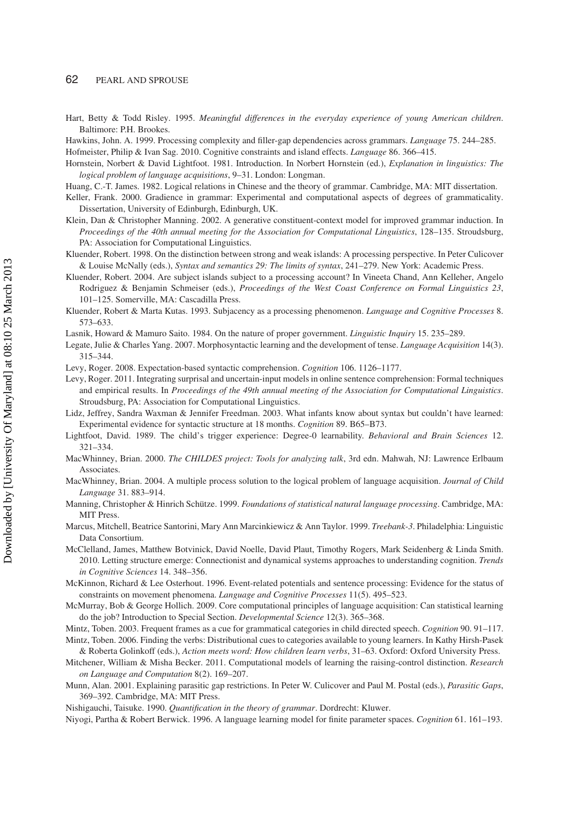Hart, Betty & Todd Risley. 1995. *Meaningful differences in the everyday experience of young American children*. Baltimore: P.H. Brookes.

Hawkins, John. A. 1999. Processing complexity and filler-gap dependencies across grammars. *Language* 75. 244–285.

Hofmeister, Philip & Ivan Sag. 2010. Cognitive constraints and island effects. *Language* 86. 366–415.

Hornstein, Norbert & David Lightfoot. 1981. Introduction. In Norbert Hornstein (ed.), *Explanation in linguistics: The logical problem of language acquisitions*, 9–31. London: Longman.

Huang, C.-T. James. 1982. Logical relations in Chinese and the theory of grammar. Cambridge, MA: MIT dissertation.

Keller, Frank. 2000. Gradience in grammar: Experimental and computational aspects of degrees of grammaticality. Dissertation, University of Edinburgh, Edinburgh, UK.

- Klein, Dan & Christopher Manning. 2002. A generative constituent-context model for improved grammar induction. In *Proceedings of the 40th annual meeting for the Association for Computational Linguistics*, 128–135. Stroudsburg, PA: Association for Computational Linguistics.
- Kluender, Robert. 1998. On the distinction between strong and weak islands: A processing perspective. In Peter Culicover & Louise McNally (eds.), *Syntax and semantics 29: The limits of syntax*, 241–279. New York: Academic Press.
- Kluender, Robert. 2004. Are subject islands subject to a processing account? In Vineeta Chand, Ann Kelleher, Angelo Rodriguez & Benjamin Schmeiser (eds.), *Proceedings of the West Coast Conference on Formal Linguistics 23*, 101–125. Somerville, MA: Cascadilla Press.
- Kluender, Robert & Marta Kutas. 1993. Subjacency as a processing phenomenon. *Language and Cognitive Processes* 8. 573–633.
- Lasnik, Howard & Mamuro Saito. 1984. On the nature of proper government. *Linguistic Inquiry* 15. 235–289.
- Legate, Julie & Charles Yang. 2007. Morphosyntactic learning and the development of tense. *Language Acquisition* 14(3). 315–344.
- Levy, Roger. 2008. Expectation-based syntactic comprehension. *Cognition* 106. 1126–1177.
- Levy, Roger. 2011. Integrating surprisal and uncertain-input models in online sentence comprehension: Formal techniques and empirical results. In *Proceedings of the 49th annual meeting of the Association for Computational Linguistics*. Stroudsburg, PA: Association for Computational Linguistics.
- Lidz, Jeffrey, Sandra Waxman & Jennifer Freedman. 2003. What infants know about syntax but couldn't have learned: Experimental evidence for syntactic structure at 18 months. *Cognition* 89. B65–B73.
- Lightfoot, David. 1989. The child's trigger experience: Degree-0 learnability. *Behavioral and Brain Sciences* 12. 321–334.
- MacWhinney, Brian. 2000. *The CHILDES project: Tools for analyzing talk*, 3rd edn. Mahwah, NJ: Lawrence Erlbaum Associates.
- MacWhinney, Brian. 2004. A multiple process solution to the logical problem of language acquisition. *Journal of Child Language* 31. 883–914.
- Manning, Christopher & Hinrich Schütze. 1999. *Foundations of statistical natural language processing*. Cambridge, MA: MIT Press.
- Marcus, Mitchell, Beatrice Santorini, Mary Ann Marcinkiewicz & Ann Taylor. 1999. *Treebank-3*. Philadelphia: Linguistic Data Consortium.
- McClelland, James, Matthew Botvinick, David Noelle, David Plaut, Timothy Rogers, Mark Seidenberg & Linda Smith. 2010. Letting structure emerge: Connectionist and dynamical systems approaches to understanding cognition. *Trends in Cognitive Sciences* 14. 348–356.
- McKinnon, Richard & Lee Osterhout. 1996. Event-related potentials and sentence processing: Evidence for the status of constraints on movement phenomena. *Language and Cognitive Processes* 11(5). 495–523.

McMurray, Bob & George Hollich. 2009. Core computational principles of language acquisition: Can statistical learning do the job? Introduction to Special Section. *Developmental Science* 12(3). 365–368.

Mintz, Toben. 2003. Frequent frames as a cue for grammatical categories in child directed speech. *Cognition* 90. 91–117. Mintz, Toben. 2006. Finding the verbs: Distributional cues to categories available to young learners. In Kathy Hirsh-Pasek

- & Roberta Golinkoff (eds.), *Action meets word: How children learn verbs*, 31–63. Oxford: Oxford University Press. Mitchener, William & Misha Becker. 2011. Computational models of learning the raising-control distinction. *Research*
- *on Language and Computation* 8(2). 169–207.
- Munn, Alan. 2001. Explaining parasitic gap restrictions. In Peter W. Culicover and Paul M. Postal (eds.), *Parasitic Gaps*, 369–392. Cambridge, MA: MIT Press.

Nishigauchi, Taisuke. 1990. *Quantification in the theory of grammar*. Dordrecht: Kluwer.

Niyogi, Partha & Robert Berwick. 1996. A language learning model for finite parameter spaces. *Cognition* 61. 161–193.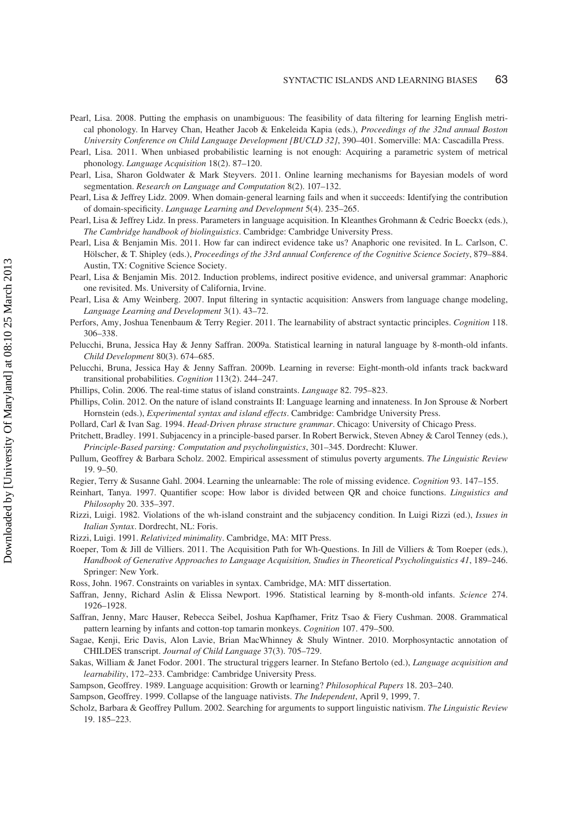- Pearl, Lisa. 2008. Putting the emphasis on unambiguous: The feasibility of data filtering for learning English metrical phonology. In Harvey Chan, Heather Jacob & Enkeleida Kapia (eds.), *Proceedings of the 32nd annual Boston University Conference on Child Language Development [BUCLD 32]*, 390–401. Somerville: MA: Cascadilla Press.
- Pearl, Lisa. 2011. When unbiased probabilistic learning is not enough: Acquiring a parametric system of metrical phonology. *Language Acquisition* 18(2). 87–120.
- Pearl, Lisa, Sharon Goldwater & Mark Steyvers. 2011. Online learning mechanisms for Bayesian models of word segmentation. *Research on Language and Computation* 8(2). 107–132.
- Pearl, Lisa & Jeffrey Lidz. 2009. When domain-general learning fails and when it succeeds: Identifying the contribution of domain-specificity. *Language Learning and Development* 5(4). 235–265.
- Pearl, Lisa & Jeffrey Lidz. In press. Parameters in language acquisition. In Kleanthes Grohmann & Cedric Boeckx (eds.), *The Cambridge handbook of biolinguistics*. Cambridge: Cambridge University Press.
- Pearl, Lisa & Benjamin Mis. 2011. How far can indirect evidence take us? Anaphoric one revisited. In L. Carlson, C. Hölscher, & T. Shipley (eds.), *Proceedings of the 33rd annual Conference of the Cognitive Science Society*, 879–884. Austin, TX: Cognitive Science Society.
- Pearl, Lisa & Benjamin Mis. 2012. Induction problems, indirect positive evidence, and universal grammar: Anaphoric one revisited. Ms. University of California, Irvine.
- Pearl, Lisa & Amy Weinberg. 2007. Input filtering in syntactic acquisition: Answers from language change modeling, *Language Learning and Development* 3(1). 43–72.
- Perfors, Amy, Joshua Tenenbaum & Terry Regier. 2011. The learnability of abstract syntactic principles. *Cognition* 118. 306–338.
- Pelucchi, Bruna, Jessica Hay & Jenny Saffran. 2009a. Statistical learning in natural language by 8-month-old infants. *Child Development* 80(3). 674–685.
- Pelucchi, Bruna, Jessica Hay & Jenny Saffran. 2009b. Learning in reverse: Eight-month-old infants track backward transitional probabilities. *Cognition* 113(2). 244–247.
- Phillips, Colin. 2006. The real-time status of island constraints. *Language* 82. 795–823.
- Phillips, Colin. 2012. On the nature of island constraints II: Language learning and innateness. In Jon Sprouse & Norbert Hornstein (eds.), *Experimental syntax and island effects*. Cambridge: Cambridge University Press.
- Pollard, Carl & Ivan Sag. 1994. *Head-Driven phrase structure grammar*. Chicago: University of Chicago Press.
- Pritchett, Bradley. 1991. Subjacency in a principle-based parser. In Robert Berwick, Steven Abney & Carol Tenney (eds.), *Principle-Based parsing: Computation and psycholinguistics*, 301–345. Dordrecht: Kluwer.
- Pullum, Geoffrey & Barbara Scholz. 2002. Empirical assessment of stimulus poverty arguments. *The Linguistic Review* 19. 9–50.
- Regier, Terry & Susanne Gahl. 2004. Learning the unlearnable: The role of missing evidence. *Cognition* 93. 147–155.
- Reinhart, Tanya. 1997. Quantifier scope: How labor is divided between QR and choice functions. *Linguistics and Philosophy* 20. 335–397.
- Rizzi, Luigi. 1982. Violations of the wh-island constraint and the subjacency condition. In Luigi Rizzi (ed.), *Issues in Italian Syntax*. Dordrecht, NL: Foris.
- Rizzi, Luigi. 1991. *Relativized minimality*. Cambridge, MA: MIT Press.
- Roeper, Tom & Jill de Villiers. 2011. The Acquisition Path for Wh-Questions. In Jill de Villiers & Tom Roeper (eds.), *Handbook of Generative Approaches to Language Acquisition, Studies in Theoretical Psycholinguistics 41*, 189–246. Springer: New York.
- Ross, John. 1967. Constraints on variables in syntax. Cambridge, MA: MIT dissertation.
- Saffran, Jenny, Richard Aslin & Elissa Newport. 1996. Statistical learning by 8-month-old infants. *Science* 274. 1926–1928.
- Saffran, Jenny, Marc Hauser, Rebecca Seibel, Joshua Kapfhamer, Fritz Tsao & Fiery Cushman. 2008. Grammatical pattern learning by infants and cotton-top tamarin monkeys. *Cognition* 107. 479–500.
- Sagae, Kenji, Eric Davis, Alon Lavie, Brian MacWhinney & Shuly Wintner. 2010. Morphosyntactic annotation of CHILDES transcript. *Journal of Child Language* 37(3). 705–729.
- Sakas, William & Janet Fodor. 2001. The structural triggers learner. In Stefano Bertolo (ed.), *Language acquisition and learnability*, 172–233. Cambridge: Cambridge University Press.
- Sampson, Geoffrey. 1989. Language acquisition: Growth or learning? *Philosophical Papers* 18. 203–240.
- Sampson, Geoffrey. 1999. Collapse of the language nativists. *The Independent*, April 9, 1999, 7.
- Scholz, Barbara & Geoffrey Pullum. 2002. Searching for arguments to support linguistic nativism. *The Linguistic Review* 19. 185–223.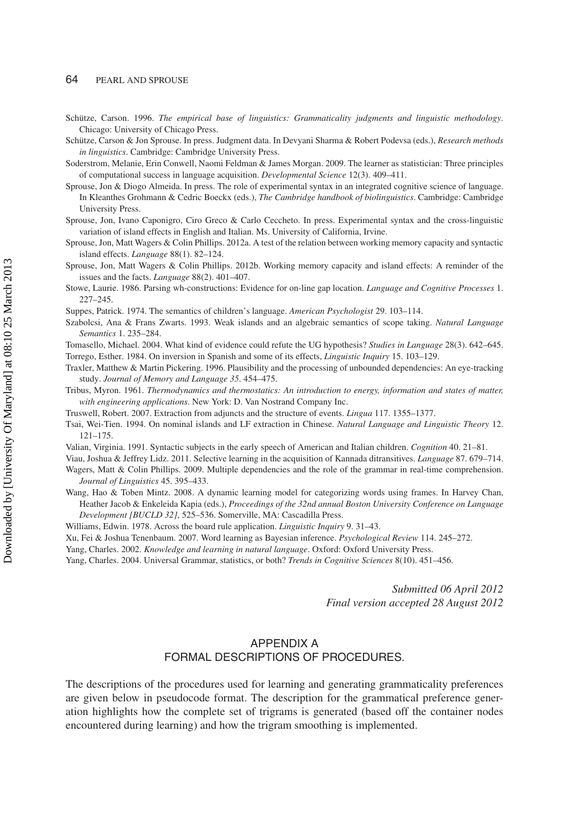- Schütze, Carson. 1996. *The empirical base of linguistics: Grammaticality judgments and linguistic methodology*. Chicago: University of Chicago Press.
- Schütze, Carson & Jon Sprouse. In press. Judgment data. In Devyani Sharma & Robert Podevsa (eds.), *Research methods in linguistics*. Cambridge: Cambridge University Press.
- Soderstrom, Melanie, Erin Conwell, Naomi Feldman & James Morgan. 2009. The learner as statistician: Three principles of computational success in language acquisition. *Developmental Science* 12(3). 409–411.
- Sprouse, Jon & Diogo Almeida. In press. The role of experimental syntax in an integrated cognitive science of language. In Kleanthes Grohmann & Cedric Boeckx (eds.), *The Cambridge handbook of biolinguistics*. Cambridge: Cambridge University Press.
- Sprouse, Jon, Ivano Caponigro, Ciro Greco & Carlo Ceccheto. In press. Experimental syntax and the cross-linguistic variation of island effects in English and Italian. Ms. University of California, Irvine.
- Sprouse, Jon, Matt Wagers & Colin Phillips. 2012a. A test of the relation between working memory capacity and syntactic island effects. *Language* 88(1). 82–124.
- Sprouse, Jon, Matt Wagers & Colin Phillips. 2012b. Working memory capacity and island effects: A reminder of the issues and the facts. *Language* 88(2). 401–407.
- Stowe, Laurie. 1986. Parsing wh-constructions: Evidence for on-line gap location. *Language and Cognitive Processes* 1.  $227 - 245$
- Suppes, Patrick. 1974. The semantics of children's language. *American Psychologist* 29. 103–114.
- Szabolcsi, Ana & Frans Zwarts. 1993. Weak islands and an algebraic semantics of scope taking. *Natural Language Semantics* 1. 235–284.

Tomasello, Michael. 2004. What kind of evidence could refute the UG hypothesis? *Studies in Language* 28(3). 642–645.

- Torrego, Esther. 1984. On inversion in Spanish and some of its effects, *Linguistic Inquiry* 15. 103–129.
- Traxler, Matthew & Martin Pickering. 1996. Plausibility and the processing of unbounded dependencies: An eye-tracking study. *Journal of Memory and Language 35*. 454–475.
- Tribus, Myron. 1961. *Thermodynamics and thermostatics: An introduction to energy, information and states of matter, with engineering applications*. New York: D. Van Nostrand Company Inc.
- Truswell, Robert. 2007. Extraction from adjuncts and the structure of events. *Lingua* 117. 1355–1377.
- Tsai, Wei-Tien. 1994. On nominal islands and LF extraction in Chinese. *Natural Language and Linguistic Theory* 12. 121–175.
- Valian, Virginia. 1991. Syntactic subjects in the early speech of American and Italian children. *Cognition* 40. 21–81.
- Viau, Joshua & Jeffrey Lidz. 2011. Selective learning in the acquisition of Kannada ditransitives. *Language* 87. 679–714. Wagers, Matt & Colin Phillips. 2009. Multiple dependencies and the role of the grammar in real-time comprehension. *Journal of Linguistics* 45. 395–433.
- Wang, Hao & Toben Mintz. 2008. A dynamic learning model for categorizing words using frames. In Harvey Chan, Heather Jacob & Enkeleida Kapia (eds.), *Proceedings of the 32nd annual Boston University Conference on Language Development [BUCLD 32]*, 525–536. Somerville, MA: Cascadilla Press.
- Williams, Edwin. 1978. Across the board rule application. *Linguistic Inquiry* 9. 31–43.
- Xu, Fei & Joshua Tenenbaum. 2007. Word learning as Bayesian inference. *Psychological Review* 114. 245–272.
- Yang, Charles. 2002. *Knowledge and learning in natural language*. Oxford: Oxford University Press.
- Yang, Charles. 2004. Universal Grammar, statistics, or both? *Trends in Cognitive Sciences* 8(10). 451–456.

*Submitted 06 April 2012 Final version accepted 28 August 2012*

# APPENDIX A FORMAL DESCRIPTIONS OF PROCEDURES.

The descriptions of the procedures used for learning and generating grammaticality preferences are given below in pseudocode format. The description for the grammatical preference generation highlights how the complete set of trigrams is generated (based off the container nodes encountered during learning) and how the trigram smoothing is implemented.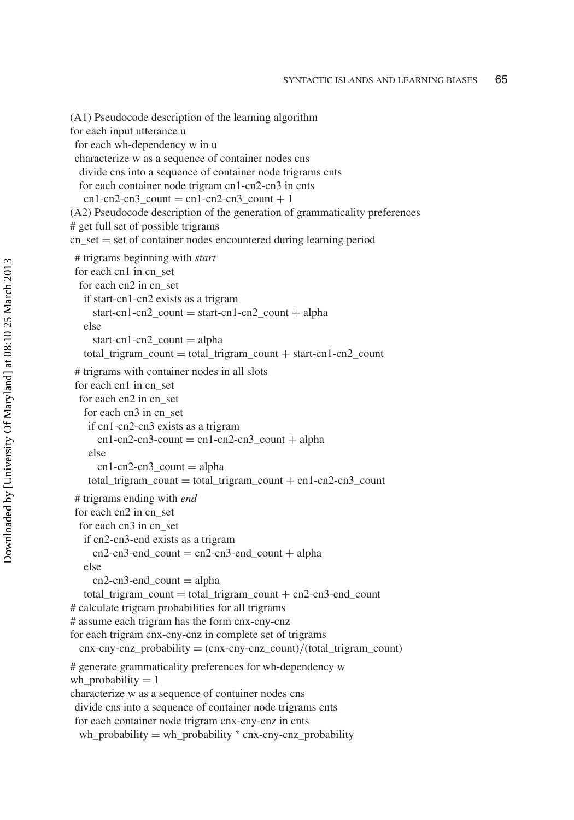```
(A1) Pseudocode description of the learning algorithm
for each input utterance u
 for each wh-dependency w in u
 characterize w as a sequence of container nodes cns
  divide cns into a sequence of container node trigrams cnts
  for each container node trigram cn1-cn2-cn3 in cnts
   cn1-cn2-cn3 count = cn1-cn2-cn3 count + 1
(A2) Pseudocode description of the generation of grammaticality preferences
# get full set of possible trigrams
cn_set = set of container nodes encountered during learning period
 # trigrams beginning with start
 for each cn1 in cn_set
  for each cn2 in cn_set
   if start-cn1-cn2 exists as a trigram
     start-cn1-cn2_count = start-cn1-cn2_count + alpha
   else
    start-cn1-cn2_count = alpha
   total\_trigram\_count = total\_trigram\_count + start-en1-en2\_count# trigrams with container nodes in all slots
 for each cn1 in cn_set
  for each cn2 in cn_set
   for each cn3 in cn_set
   if cn1-cn2-cn3 exists as a trigram
      cn1-cn2-cn3-count = cn1-cn2-cn3_count + alpha
   else
      cn1-cn2-cn3 count = alpha
    total\_trigram\_count = total\_trigram\_count + cn1 cn2 cn3\_count# trigrams ending with end
 for each cn2 in cn_set
  for each cn3 in cn_set
   if cn2-cn3-end exists as a trigram
    cn2-cn3-end_count = cn2-cn3-end_count + alpha
   else
    cn2-cn3-end_count = alpha
   total\_trigram\_count = total\_trigram\_count + cn2\text{-}cn3\text{-}end\_count# calculate trigram probabilities for all trigrams
# assume each trigram has the form cnx-cny-cnz
for each trigram cnx-cny-cnz in complete set of trigrams
  cnx-cny-cnz\_probability = (cnx-cny-cnz\_count)/(total\_trigram\_count)# generate grammaticality preferences for wh-dependency w
wh_probability = 1characterize w as a sequence of container nodes cns
 divide cns into a sequence of container node trigrams cnts
 for each container node trigram cnx-cny-cnz in cnts
  wh_probability = wh_probability * cnx-cny-cnz_probability
```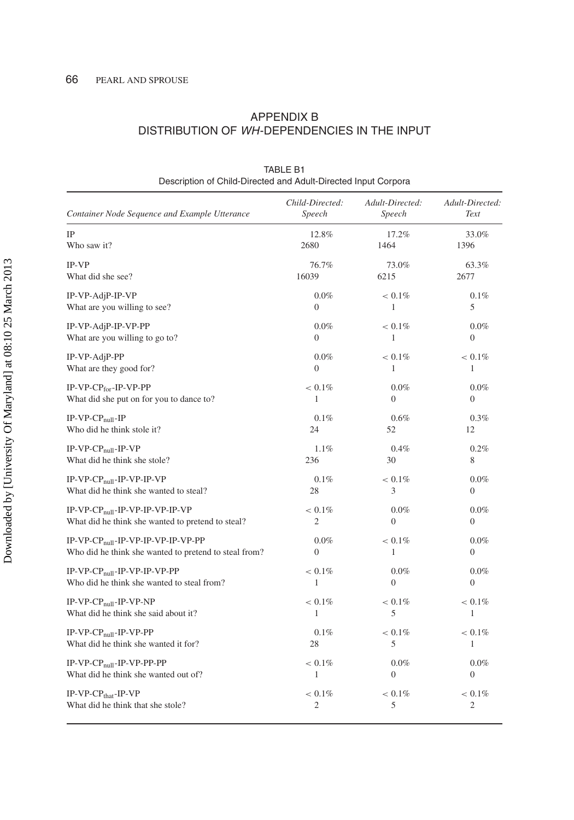# APPENDIX B DISTRIBUTION OF *WH*-DEPENDENCIES IN THE INPUT

| Container Node Sequence and Example Utterance         | Child-Directed:  | Adult-Directed:  | Adult-Directed:  |
|-------------------------------------------------------|------------------|------------------|------------------|
|                                                       | Speech           | Speech           | Text             |
| IP                                                    | 12.8%            | 17.2%            | 33.0%            |
| Who saw it?                                           | 2680             | 1464             | 1396             |
| IP-VP                                                 | 76.7%            | 73.0%            | 63.3%            |
| What did she see?                                     | 16039            | 6215             | 2677             |
| IP-VP-AdjP-IP-VP                                      | 0.0%             | $< 0.1\%$        | 0.1%             |
| What are you willing to see?                          | $\mathbf{0}$     | 1                | 5                |
| IP-VP-AdjP-IP-VP-PP                                   | $0.0\%$          | $< 0.1\%$        | 0.0%             |
| What are you willing to go to?                        | $\overline{0}$   | 1                | $\mathbf{0}$     |
| IP-VP-AdjP-PP                                         | 0.0%             | $< 0.1\%$        | $< 0.1\%$        |
| What are they good for?                               | $\mathbf{0}$     | 1                | 1                |
| IP-VP-CP <sub>for</sub> -IP-VP-PP                     | $< 0.1\%$        | 0.0%             | 0.0%             |
| What did she put on for you to dance to?              | 1                | $\mathbf{0}$     | $\theta$         |
| $IP-VP-CP_{null}-IP$                                  | 0.1%             | $0.6\%$          | 0.3%             |
| Who did he think stole it?                            | 24               | 52               | 12               |
| $IP-VP-CPnull-IP-VP$                                  | 1.1%             | 0.4%             | 0.2%             |
| What did he think she stole?                          | 236              | 30               | 8                |
| $IP-VP-CP_{null}-IP-VP-IP-VP$                         | 0.1%             | $< 0.1\%$        | 0.0%             |
| What did he think she wanted to steal?                | 28               | 3                | $\overline{0}$   |
| IP-VP-CP <sub>null</sub> -IP-VP-IP-VP-IP-VP           | $< 0.1\%$        | 0.0%             | 0.0%             |
| What did he think she wanted to pretend to steal?     | 2                | $\boldsymbol{0}$ | $\boldsymbol{0}$ |
| IP-VP-CP <sub>null</sub> -IP-VP-IP-VP-IP-VP-PP        | 0.0%             | $< 0.1\%$        | $0.0\%$          |
| Who did he think she wanted to pretend to steal from? | $\boldsymbol{0}$ | 1                | $\boldsymbol{0}$ |
| IP-VP-CP <sub>null</sub> -IP-VP-IP-VP-PP              | $< 0.1\%$        | $0.0\%$          | $0.0\%$          |
| Who did he think she wanted to steal from?            | 1                | $\overline{0}$   | 0                |
| IP-VP-CP <sub>null</sub> -IP-VP-NP                    | $< 0.1\%$        | $< 0.1\%$        | $< 0.1\%$        |
| What did he think she said about it?                  | 1                | 5                | 1                |
| IP-VP-CP <sub>null</sub> -IP-VP-PP                    | 0.1%             | $< 0.1\%$        | $< 0.1\%$        |
| What did he think she wanted it for?                  | 28               | 5                | 1                |
| $IP-VP-CP_{null}-IP-VP-PP-PP$                         | $< 0.1\%$        | $0.0\%$          | 0.0%             |
| What did he think she wanted out of?                  | 1                | $\boldsymbol{0}$ | $\boldsymbol{0}$ |
| IP-VP-CP <sub>that</sub> -IP-VP                       | $< 0.1\%$        | $< 0.1\%$        | $< 0.1\%$        |
| What did he think that she stole?                     | 2                | 5                | 2                |
|                                                       |                  |                  |                  |

TABLE B1 Description of Child-Directed and Adult-Directed Input Corpora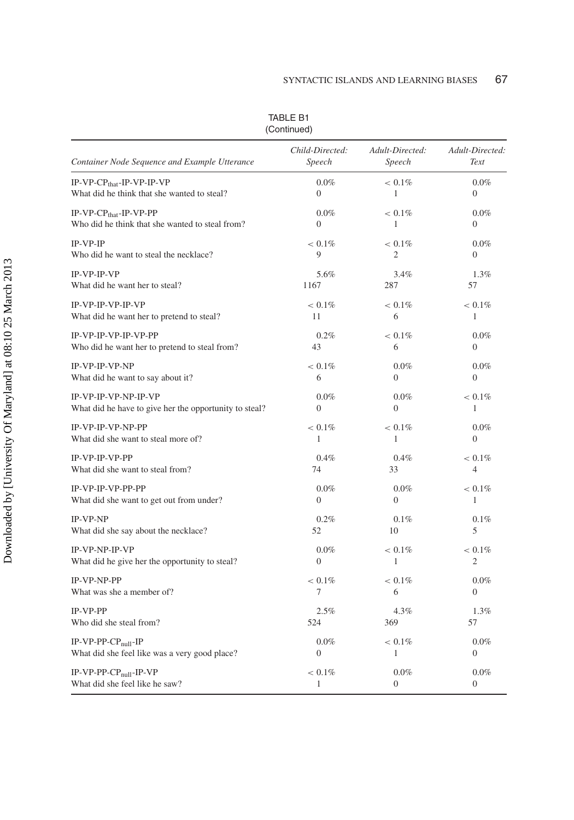| TABLE B1    |  |
|-------------|--|
| (Continued) |  |

| Container Node Sequence and Example Utterance          | Child-Directed: | Adult-Directed: | Adult-Directed:  |
|--------------------------------------------------------|-----------------|-----------------|------------------|
|                                                        | Speech          | Speech          | Text             |
| IP-VP-CP <sub>that</sub> -IP-VP-IP-VP                  | 0.0%            | $< 0.1\%$       | $0.0\%$          |
| What did he think that she wanted to steal?            | $\overline{0}$  | $\mathbf{1}$    | $\overline{0}$   |
| IP-VP-CP <sub>that</sub> -IP-VP-PP                     | $0.0\%$         | $< 0.1\%$       | $0.0\%$          |
| Who did he think that she wanted to steal from?        | $\overline{0}$  | 1               | 0                |
| $IP-VP-IP$                                             | $< 0.1\%$       | $< 0.1\%$       | $0.0\%$          |
| Who did he want to steal the necklace?                 | 9               | $\mathfrak{2}$  | $\Omega$         |
| IP-VP-IP-VP                                            | 5.6%            | 3.4%            | 1.3%             |
| What did he want her to steal?                         | 1167            | 287             | 57               |
| IP-VP-IP-VP-IP-VP                                      | $< 0.1\%$       | $< 0.1\%$       | $< 0.1\%$        |
| What did he want her to pretend to steal?              | 11              | 6               | $\mathbf{1}$     |
| IP-VP-IP-VP-IP-VP-PP                                   | 0.2%            | $< 0.1\%$       | $0.0\%$          |
| Who did he want her to pretend to steal from?          | 43              | 6               | 0                |
| IP-VP-IP-VP-NP                                         | $< 0.1\%$       | 0.0%            | $0.0\%$          |
| What did he want to say about it?                      | 6               | $\Omega$        | $\boldsymbol{0}$ |
| IP-VP-IP-VP-NP-IP-VP                                   | 0.0%            | $0.0\%$         | $< 0.1\%$        |
| What did he have to give her the opportunity to steal? | $\overline{0}$  | $\overline{0}$  | 1                |
| IP-VP-IP-VP-NP-PP                                      | $< 0.1\%$       | $< 0.1\%$       | 0.0%             |
| What did she want to steal more of?                    | $\mathbf{1}$    | $\mathbf{1}$    | $\overline{0}$   |
| IP-VP-IP-VP-PP                                         | 0.4%            | 0.4%            | $< 0.1\%$        |
| What did she want to steal from?                       | 74              | 33              | $\overline{4}$   |
| IP-VP-IP-VP-PP-PP                                      | 0.0%            | 0.0%            | $< 0.1\%$        |
| What did she want to get out from under?               | $\overline{0}$  | $\theta$        | 1                |
| IP-VP-NP                                               | 0.2%            | 0.1%            | 0.1%             |
| What did she say about the necklace?                   | 52              | 10              | 5                |
| IP-VP-NP-IP-VP                                         | 0.0%            | $< 0.1\%$       | $< 0.1\%$        |
| What did he give her the opportunity to steal?         | $\Omega$        | 1               | 2                |
| IP-VP-NP-PP                                            | $< 0.1\%$       | $< 0.1\%$       | $0.0\%$          |
| What was she a member of?                              | 7               | 6               | $\theta$         |
| IP-VP-PP                                               | 2.5%            | 4.3%            | 1.3%             |
| Who did she steal from?                                | 524             | 369             | 57               |
| $IP-VP-PP-CPnull-IP$                                   | 0.0%            | $< 0.1\%$       | $0.0\%$          |
| What did she feel like was a very good place?          | $\theta$        | 1               | $\overline{0}$   |
| $IP-VP-PP-CPnull-IP-VP$                                | $< 0.1\%$       | 0.0%            | $0.0\%$          |
| What did she feel like he saw?                         | $\mathbf{1}$    | 0               | 0                |